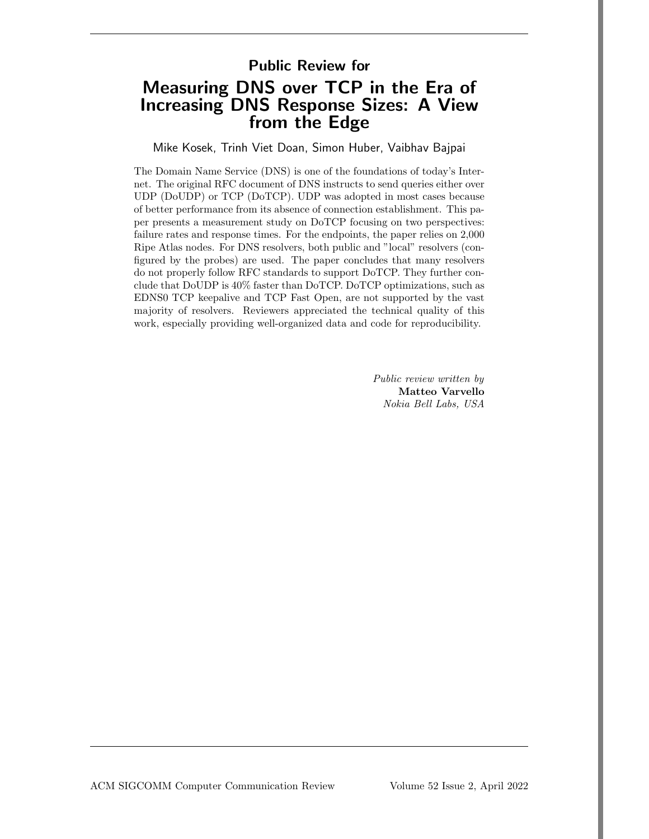## Public Review for

# Measuring DNS over TCP in the Era of Increasing DNS Response Sizes: A View from the Edge

Mike Kosek, Trinh Viet Doan, Simon Huber, Vaibhav Bajpai

The Domain Name Service (DNS) is one of the foundations of today's Internet. The original RFC document of DNS instructs to send queries either over UDP (DoUDP) or TCP (DoTCP). UDP was adopted in most cases because of better performance from its absence of connection establishment. This paper presents a measurement study on DoTCP focusing on two perspectives: failure rates and response times. For the endpoints, the paper relies on 2,000 Ripe Atlas nodes. For DNS resolvers, both public and "local" resolvers (configured by the probes) are used. The paper concludes that many resolvers do not properly follow RFC standards to support DoTCP. They further conclude that DoUDP is 40% faster than DoTCP. DoTCP optimizations, such as EDNS0 TCP keepalive and TCP Fast Open, are not supported by the vast majority of resolvers. Reviewers appreciated the technical quality of this work, especially providing well-organized data and code for reproducibility.

> Public review written by Matteo Varvello Nokia Bell Labs, USA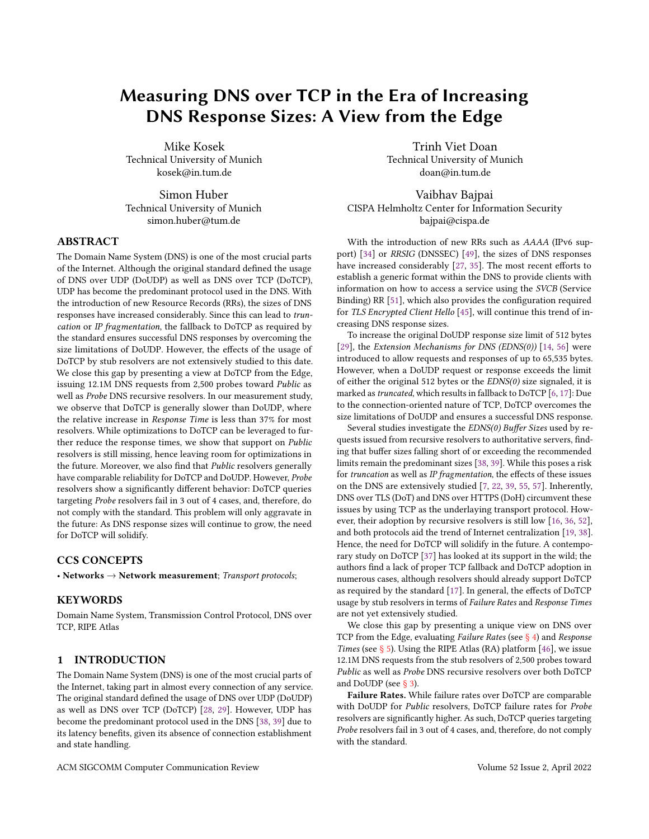# Measuring DNS over TCP in the Era of Increasing DNS Response Sizes: A View from the Edge

Mike Kosek Technical University of Munich kosek@in.tum.de

Simon Huber Technical University of Munich simon.huber@tum.de

## ABSTRACT

The Domain Name System (DNS) is one of the most crucial parts of the Internet. Although the original standard defined the usage of DNS over UDP (DoUDP) as well as DNS over TCP (DoTCP), UDP has become the predominant protocol used in the DNS. With the introduction of new Resource Records (RRs), the sizes of DNS responses have increased considerably. Since this can lead to truncation or IP fragmentation, the fallback to DoTCP as required by the standard ensures successful DNS responses by overcoming the size limitations of DoUDP. However, the effects of the usage of DoTCP by stub resolvers are not extensively studied to this date. We close this gap by presenting a view at DoTCP from the Edge, issuing 12.1M DNS requests from 2,500 probes toward Public as well as Probe DNS recursive resolvers. In our measurement study, we observe that DoTCP is generally slower than DoUDP, where the relative increase in Response Time is less than 37% for most resolvers. While optimizations to DoTCP can be leveraged to further reduce the response times, we show that support on Public resolvers is still missing, hence leaving room for optimizations in the future. Moreover, we also find that Public resolvers generally have comparable reliability for DoTCP and DoUDP. However, Probe resolvers show a significantly different behavior: DoTCP queries targeting Probe resolvers fail in 3 out of 4 cases, and, therefore, do not comply with the standard. This problem will only aggravate in the future: As DNS response sizes will continue to grow, the need for DoTCP will solidify.

## CCS CONCEPTS

• Networks  $\rightarrow$  Network measurement; Transport protocols;

## **KEYWORDS**

Domain Name System, Transmission Control Protocol, DNS over TCP, RIPE Atlas

## 1 INTRODUCTION

The Domain Name System (DNS) is one of the most crucial parts of the Internet, taking part in almost every connection of any service. The original standard defined the usage of DNS over UDP (DoUDP) as well as DNS over TCP (DoTCP) [\[28,](#page-10-0) [29\]](#page-10-1). However, UDP has become the predominant protocol used in the DNS [\[38,](#page-11-0) [39\]](#page-11-1) due to its latency benefits, given its absence of connection establishment and state handling.

Trinh Viet Doan Technical University of Munich doan@in.tum.de

Vaibhav Bajpai CISPA Helmholtz Center for Information Security bajpai@cispa.de

With the introduction of new RRs such as AAAA (IPv6 support) [\[34\]](#page-10-2) or RRSIG (DNSSEC) [\[49\]](#page-11-2), the sizes of DNS responses have increased considerably [\[27,](#page-10-3) [35\]](#page-10-4). The most recent efforts to establish a generic format within the DNS to provide clients with information on how to access a service using the SVCB (Service Binding) RR [\[51\]](#page-11-3), which also provides the configuration required for TLS Encrypted Client Hello [\[45\]](#page-11-4), will continue this trend of increasing DNS response sizes.

To increase the original DoUDP response size limit of 512 bytes [\[29\]](#page-10-1), the Extension Mechanisms for DNS (EDNS(0)) [\[14,](#page-10-5) [56\]](#page-11-5) were introduced to allow requests and responses of up to 65,535 bytes. However, when a DoUDP request or response exceeds the limit of either the original 512 bytes or the  $EDNS(0)$  size signaled, it is marked astruncated, which results in fallback to DoTCP [\[6,](#page-10-6) [17\]](#page-10-7): Due to the connection-oriented nature of TCP, DoTCP overcomes the size limitations of DoUDP and ensures a successful DNS response.

Several studies investigate the EDNS(0) Buffer Sizes used by requests issued from recursive resolvers to authoritative servers, finding that buffer sizes falling short of or exceeding the recommended limits remain the predominant sizes [\[38,](#page-11-0) [39\]](#page-11-1). While this poses a risk for truncation as well as IP fragmentation, the effects of these issues on the DNS are extensively studied [\[7,](#page-10-8) [22,](#page-10-9) [39,](#page-11-1) [55,](#page-11-6) [57\]](#page-11-7). Inherently, DNS over TLS (DoT) and DNS over HTTPS (DoH) circumvent these issues by using TCP as the underlaying transport protocol. However, their adoption by recursive resolvers is still low [\[16,](#page-10-10) [36,](#page-11-8) [52\]](#page-11-9), and both protocols aid the trend of Internet centralization [\[19,](#page-10-11) [38\]](#page-11-0). Hence, the need for DoTCP will solidify in the future. A contemporary study on DoTCP [\[37\]](#page-11-10) has looked at its support in the wild; the authors find a lack of proper TCP fallback and DoTCP adoption in numerous cases, although resolvers should already support DoTCP as required by the standard [\[17\]](#page-10-7). In general, the effects of DoTCP usage by stub resolvers in terms of Failure Rates and Response Times are not yet extensively studied.

We close this gap by presenting a unique view on DNS over TCP from the Edge, evaluating Failure Rates (see [§ 4\)](#page-5-0) and Response Times (see  $\S$  5). Using the RIPE Atlas (RA) platform [\[46\]](#page-11-11), we issue 12.1M DNS requests from the stub resolvers of 2,500 probes toward Public as well as Probe DNS recursive resolvers over both DoTCP and DoUDP (see [§ 3\)](#page-2-0).

Failure Rates. While failure rates over DoTCP are comparable with DoUDP for Public resolvers, DoTCP failure rates for Probe resolvers are significantly higher. As such, DoTCP queries targeting Probe resolvers fail in 3 out of 4 cases, and, therefore, do not comply with the standard.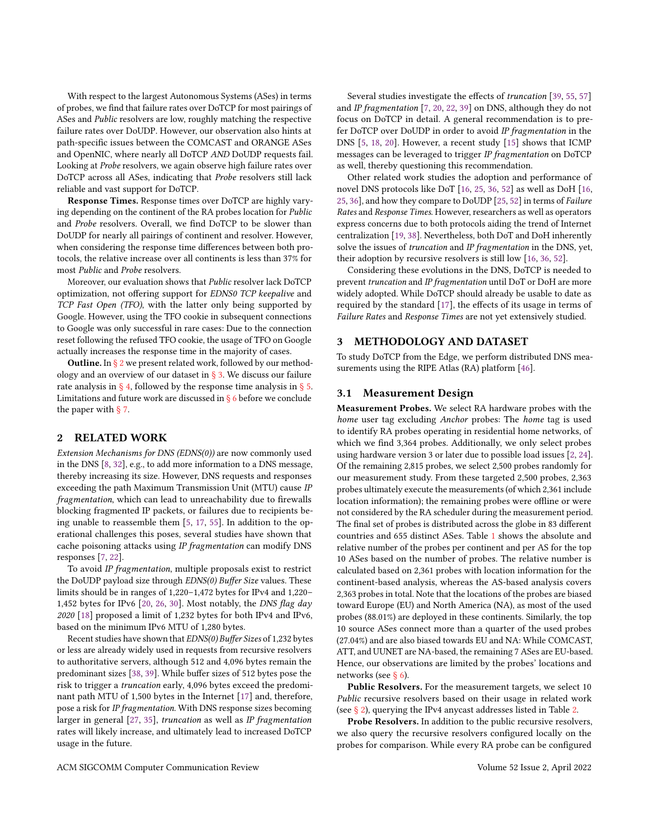With respect to the largest Autonomous Systems (ASes) in terms of probes, we find that failure rates over DoTCP for most pairings of ASes and Public resolvers are low, roughly matching the respective failure rates over DoUDP. However, our observation also hints at path-specific issues between the COMCAST and ORANGE ASes and OpenNIC, where nearly all DoTCP AND DoUDP requests fail. Looking at Probe resolvers, we again observe high failure rates over DoTCP across all ASes, indicating that Probe resolvers still lack reliable and vast support for DoTCP.

Response Times. Response times over DoTCP are highly varying depending on the continent of the RA probes location for Public and Probe resolvers. Overall, we find DoTCP to be slower than DoUDP for nearly all pairings of continent and resolver. However, when considering the response time differences between both protocols, the relative increase over all continents is less than 37% for most Public and Probe resolvers.

Moreover, our evaluation shows that Public resolver lack DoTCP optimization, not offering support for EDNS0 TCP keepalive and TCP Fast Open (TFO), with the latter only being supported by Google. However, using the TFO cookie in subsequent connections to Google was only successful in rare cases: Due to the connection reset following the refused TFO cookie, the usage of TFO on Google actually increases the response time in the majority of cases.

Outline. In [§ 2](#page-2-1) we present related work, followed by our methodology and an overview of our dataset in  $\S$  3. We discuss our failure rate analysis in  $\S$  4, followed by the response time analysis in  $\S$  5. Limitations and future work are discussed in  $\S$  6 before we conclude the paper with  $\S$  7.

## <span id="page-2-1"></span>2 RELATED WORK

Extension Mechanisms for DNS (EDNS(0)) are now commonly used in the DNS [\[8,](#page-10-13) [32\]](#page-10-14), e.g., to add more information to a DNS message, thereby increasing its size. However, DNS requests and responses exceeding the path Maximum Transmission Unit (MTU) cause IP fragmentation, which can lead to unreachability due to firewalls blocking fragmented IP packets, or failures due to recipients being unable to reassemble them [\[5,](#page-10-15) [17,](#page-10-7) [55\]](#page-11-6). In addition to the operational challenges this poses, several studies have shown that cache poisoning attacks using IP fragmentation can modify DNS responses [\[7,](#page-10-8) [22\]](#page-10-9).

To avoid IP fragmentation, multiple proposals exist to restrict the DoUDP payload size through EDNS(0) Buffer Size values. These limits should be in ranges of 1,220–1,472 bytes for IPv4 and 1,220– 1,452 bytes for IPv6 [\[20,](#page-10-16) [26,](#page-10-17) [30\]](#page-10-18). Most notably, the DNS flag day 2020 [\[18\]](#page-10-19) proposed a limit of 1,232 bytes for both IPv4 and IPv6, based on the minimum IPv6 MTU of 1,280 bytes.

Recent studies have shown that EDNS(0) Buffer Sizes of 1,232 bytes or less are already widely used in requests from recursive resolvers to authoritative servers, although 512 and 4,096 bytes remain the predominant sizes [\[38,](#page-11-0) [39\]](#page-11-1). While buffer sizes of 512 bytes pose the risk to trigger a truncation early, 4,096 bytes exceed the predominant path MTU of 1,500 bytes in the Internet [\[17\]](#page-10-7) and, therefore, pose a risk for IP fragmentation. With DNS response sizes becoming larger in general [\[27,](#page-10-3) [35\]](#page-10-4), truncation as well as IP fragmentation rates will likely increase, and ultimately lead to increased DoTCP usage in the future.

Several studies investigate the effects of truncation [\[39,](#page-11-1) [55,](#page-11-6) [57\]](#page-11-7) and IP fragmentation [\[7,](#page-10-8) [20,](#page-10-16) [22,](#page-10-9) [39\]](#page-11-1) on DNS, although they do not focus on DoTCP in detail. A general recommendation is to prefer DoTCP over DoUDP in order to avoid IP fragmentation in the DNS [\[5,](#page-10-15) [18,](#page-10-19) [20\]](#page-10-16). However, a recent study [\[15\]](#page-10-20) shows that ICMP messages can be leveraged to trigger IP fragmentation on DoTCP as well, thereby questioning this recommendation.

Other related work studies the adoption and performance of novel DNS protocols like DoT [\[16,](#page-10-10) [25,](#page-10-21) [36,](#page-11-8) [52\]](#page-11-9) as well as DoH [\[16,](#page-10-10) [25,](#page-10-21) [36\]](#page-11-8), and how they compare to DoUDP [\[25,](#page-10-21) [52\]](#page-11-9) in terms of Failure Rates and Response Times. However, researchers as well as operators express concerns due to both protocols aiding the trend of Internet centralization [\[19,](#page-10-11) [38\]](#page-11-0). Nevertheless, both DoT and DoH inherently solve the issues of truncation and IP fragmentation in the DNS, yet, their adoption by recursive resolvers is still low [\[16,](#page-10-10) [36,](#page-11-8) [52\]](#page-11-9).

Considering these evolutions in the DNS, DoTCP is needed to prevent truncation and IP fragmentation until DoT or DoH are more widely adopted. While DoTCP should already be usable to date as required by the standard [\[17\]](#page-10-7), the effects of its usage in terms of Failure Rates and Response Times are not yet extensively studied.

### <span id="page-2-0"></span>3 METHODOLOGY AND DATASET

To study DoTCP from the Edge, we perform distributed DNS measurements using the RIPE Atlas (RA) platform [\[46\]](#page-11-11).

#### <span id="page-2-2"></span>3.1 Measurement Design

Measurement Probes. We select RA hardware probes with the home user tag excluding Anchor probes: The home tag is used to identify RA probes operating in residential home networks, of which we find 3,364 probes. Additionally, we only select probes using hardware version 3 or later due to possible load issues [\[2,](#page-10-22) [24\]](#page-10-23). Of the remaining 2,815 probes, we select 2,500 probes randomly for our measurement study. From these targeted 2,500 probes, 2,363 probes ultimately execute the measurements (of which 2,361 include location information); the remaining probes were offline or were not considered by the RA scheduler during the measurement period. The final set of probes is distributed across the globe in 83 different countries and 655 distinct ASes. Table [1](#page-3-0) shows the absolute and relative number of the probes per continent and per AS for the top 10 ASes based on the number of probes. The relative number is calculated based on 2,361 probes with location information for the continent-based analysis, whereas the AS-based analysis covers 2,363 probes in total. Note that the locations of the probes are biased toward Europe (EU) and North America (NA), as most of the used probes (88.01%) are deployed in these continents. Similarly, the top 10 source ASes connect more than a quarter of the used probes (27.04%) and are also biased towards EU and NA: While COMCAST, ATT, and UUNET are NA-based, the remaining 7 ASes are EU-based. Hence, our observations are limited by the probes' locations and networks (see [§ 6\)](#page-9-0).

Public Resolvers. For the measurement targets, we select 10 Public recursive resolvers based on their usage in related work (see [§ 2\)](#page-2-1), querying the IPv4 anycast addresses listed in Table [2.](#page-3-1)

Probe Resolvers. In addition to the public recursive resolvers, we also query the recursive resolvers configured locally on the probes for comparison. While every RA probe can be configured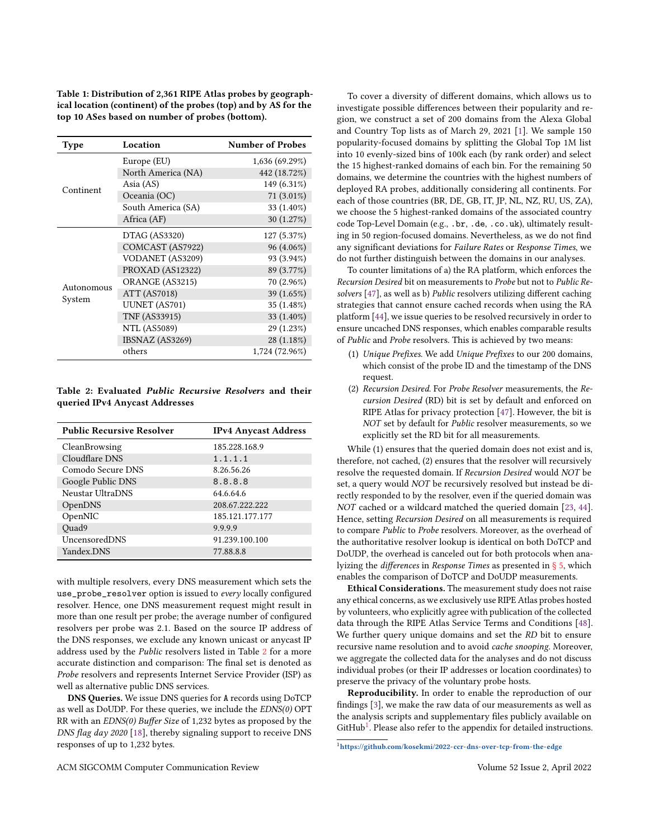<span id="page-3-0"></span>Table 1: Distribution of 2,361 RIPE Atlas probes by geographical location (continent) of the probes (top) and by AS for the top 10 ASes based on number of probes (bottom).

| Type       | Location             | <b>Number of Probes</b> |
|------------|----------------------|-------------------------|
|            | Europe (EU)          | 1,636 (69.29%)          |
|            | North America (NA)   | 442 (18.72%)            |
| Continent  | Asia (AS)            | 149 (6.31%)             |
|            | Oceania (OC)         | 71 (3.01%)              |
|            | South America (SA)   | 33 (1.40%)              |
|            | Africa (AF)          | 30 (1.27%)              |
|            | DTAG (AS3320)        | 127 (5.37%)             |
|            | COMCAST (AS7922)     | 96 (4.06%)              |
|            | VODANET (AS3209)     | 93 (3.94%)              |
|            | PROXAD (AS12322)     | 89 (3.77%)              |
| Autonomous | ORANGE (AS3215)      | 70 (2.96%)              |
|            | ATT (AS7018)         | 39 (1.65%)              |
| System     | <b>UUNET</b> (AS701) | 35 (1.48%)              |
|            | <b>TNF (AS33915)</b> | 33 (1.40%)              |
|            | NTL (AS5089)         | 29 (1.23%)              |
|            | IBSNAZ (AS3269)      | 28 (1.18%)              |
|            | others               | 1,724 (72.96%)          |

## <span id="page-3-1"></span>Table 2: Evaluated Public Recursive Resolvers and their queried IPv4 Anycast Addresses

| <b>Public Recursive Resolver</b> | <b>IPv4 Anycast Address</b> |
|----------------------------------|-----------------------------|
| CleanBrowsing                    | 185.228.168.9               |
| Cloudflare DNS                   | 1.1.1.1                     |
| Comodo Secure DNS                | 8.26.56.26                  |
| Google Public DNS                | 8.8.8.8                     |
| Neustar UltraDNS                 | 64.6.64.6                   |
| OpenDNS                          | 208.67.222.222              |
| OpenNIC                          | 185.121.177.177             |
| Quad9                            | 9.9.9.9                     |
| UncensoredDNS                    | 91.239.100.100              |
| Yandex.DNS                       | 77.88.8.8                   |

with multiple resolvers, every DNS measurement which sets the use\_probe\_resolver option is issued to every locally configured resolver. Hence, one DNS measurement request might result in more than one result per probe; the average number of configured resolvers per probe was 2.1. Based on the source IP address of the DNS responses, we exclude any known unicast or anycast IP address used by the Public resolvers listed in Table [2](#page-3-1) for a more accurate distinction and comparison: The final set is denoted as Probe resolvers and represents Internet Service Provider (ISP) as well as alternative public DNS services.

DNS Queries. We issue DNS queries for A records using DoTCP as well as DoUDP. For these queries, we include the EDNS(0) OPT RR with an EDNS(0) Buffer Size of 1,232 bytes as proposed by the DNS flag day 2020 [\[18\]](#page-10-19), thereby signaling support to receive DNS responses of up to 1,232 bytes.

To cover a diversity of different domains, which allows us to investigate possible differences between their popularity and region, we construct a set of 200 domains from the Alexa Global and Country Top lists as of March 29, 2021 [\[1\]](#page-10-24). We sample 150 popularity-focused domains by splitting the Global Top 1M list into 10 evenly-sized bins of 100k each (by rank order) and select the 15 highest-ranked domains of each bin. For the remaining 50 domains, we determine the countries with the highest numbers of deployed RA probes, additionally considering all continents. For each of those countries (BR, DE, GB, IT, JP, NL, NZ, RU, US, ZA), we choose the 5 highest-ranked domains of the associated country code Top-Level Domain (e.g., .br, .de, .co.uk), ultimately resulting in 50 region-focused domains. Nevertheless, as we do not find any significant deviations for Failure Rates or Response Times, we do not further distinguish between the domains in our analyses.

To counter limitations of a) the RA platform, which enforces the Recursion Desired bit on measurements to Probe but not to Public Resolvers [\[47\]](#page-11-12), as well as b) Public resolvers utilizing different caching strategies that cannot ensure cached records when using the RA platform [\[44\]](#page-11-13), we issue queries to be resolved recursively in order to ensure uncached DNS responses, which enables comparable results of Public and Probe resolvers. This is achieved by two means:

- (1) Unique Prefixes. We add Unique Prefixes to our 200 domains, which consist of the probe ID and the timestamp of the DNS request.
- (2) Recursion Desired. For Probe Resolver measurements, the Recursion Desired (RD) bit is set by default and enforced on RIPE Atlas for privacy protection [\[47\]](#page-11-12). However, the bit is NOT set by default for Public resolver measurements, so we explicitly set the RD bit for all measurements.

While (1) ensures that the queried domain does not exist and is, therefore, not cached, (2) ensures that the resolver will recursively resolve the requested domain. If Recursion Desired would NOT be set, a query would NOT be recursively resolved but instead be directly responded to by the resolver, even if the queried domain was NOT cached or a wildcard matched the queried domain [\[23,](#page-10-25) [44\]](#page-11-13). Hence, setting Recursion Desired on all measurements is required to compare Public to Probe resolvers. Moreover, as the overhead of the authoritative resolver lookup is identical on both DoTCP and DoUDP, the overhead is canceled out for both protocols when analyizing the differences in Response Times as presented in [§ 5,](#page-7-0) which enables the comparison of DoTCP and DoUDP measurements.

Ethical Considerations. The measurement study does not raise any ethical concerns, as we exclusively use RIPE Atlas probes hosted by volunteers, who explicitly agree with publication of the collected data through the RIPE Atlas Service Terms and Conditions [\[48\]](#page-11-14). We further query unique domains and set the RD bit to ensure recursive name resolution and to avoid cache snooping. Moreover, we aggregate the collected data for the analyses and do not discuss individual probes (or their IP addresses or location coordinates) to preserve the privacy of the voluntary probe hosts.

Reproducibility. In order to enable the reproduction of our findings [\[3\]](#page-10-26), we make the raw data of our measurements as well as the analysis scripts and supplementary files publicly available on GitHub<sup>[1](#page-3-2)</sup>. Please also refer to the appendix for detailed instructions.

<span id="page-3-2"></span><sup>1</sup><https://github.com/kosekmi/2022-ccr-dns-over-tcp-from-the-edge>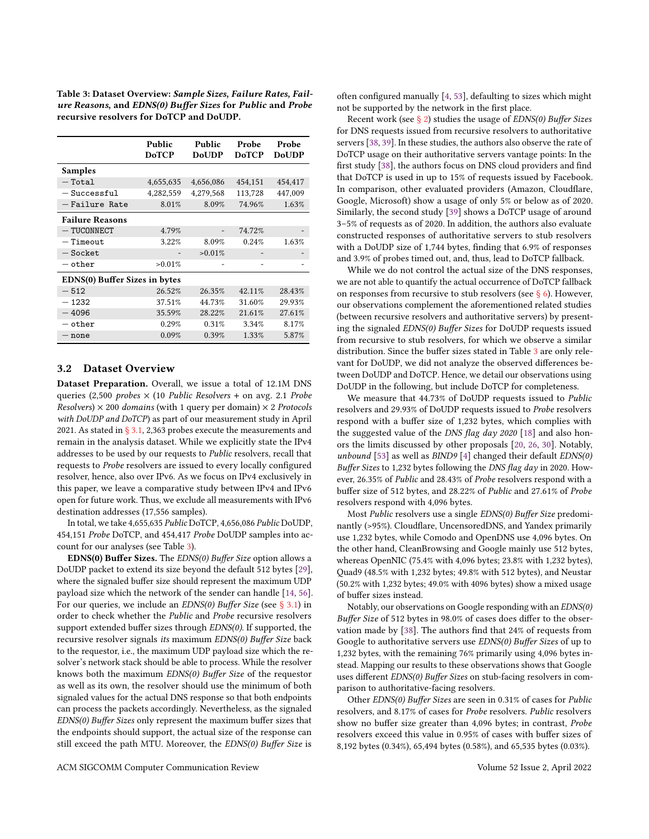<span id="page-4-0"></span>Table 3: Dataset Overview: Sample Sizes, Failure Rates, Failure Reasons, and EDNS(0) Buffer Sizes for Public and Probe recursive resolvers for DoTCP and DoUDP.

|                                      | Public<br><b>DoTCP</b> | Public<br><b>DoUDP</b> | Probe<br><b>DoTCP</b> | Probe<br><b>DoUDP</b> |  |  |  |
|--------------------------------------|------------------------|------------------------|-----------------------|-----------------------|--|--|--|
| Samples                              |                        |                        |                       |                       |  |  |  |
| $-$ Total                            | 4,655,635              | 4,656,086              | 454,151               | 454,417               |  |  |  |
| $-$ Successful                       | 4,282,559              | 4,279,568              | 113,728               | 447,009               |  |  |  |
| - Failure Rate                       | 8.01%                  | 8.09%                  | 74.96%                | 1.63%                 |  |  |  |
| <b>Failure Reasons</b>               |                        |                        |                       |                       |  |  |  |
| $-$ TUCONNECT                        | 4.79%                  |                        | 74.72%                |                       |  |  |  |
| $-$ Timeout                          | 3.22%                  | 8.09%                  | 0.24%                 | 1.63%                 |  |  |  |
| $-$ Socket                           |                        | >0.01%                 |                       |                       |  |  |  |
| $-$ other                            | >0.01%                 |                        | -                     |                       |  |  |  |
| <b>EDNS(0) Buffer Sizes in bytes</b> |                        |                        |                       |                       |  |  |  |
| $-512$                               | 26.52%                 | 26.35%                 | 42.11%                | 28.43%                |  |  |  |
| $-1232$                              | 37.51%                 | 44.73%                 | 31.60%                | 29.93%                |  |  |  |
| $-4096$                              | 35.59%                 | 28.22%                 | 21.61%                | 27.61%                |  |  |  |
| $-$ other                            | 0.29%                  | 0.31%                  | 3.34%                 | 8.17%                 |  |  |  |
| $-$ none                             | 0.09%                  | 0.39%                  | 1.33%                 | 5.87%                 |  |  |  |

## <span id="page-4-1"></span>3.2 Dataset Overview

Dataset Preparation. Overall, we issue a total of 12.1M DNS queries (2,500 *probes*  $\times$  (10 *Public Resolvers* + on avg. 2.1 *Probe* Resolvers)  $\times$  200 domains (with 1 query per domain)  $\times$  2 Protocols with DoUDP and DoTCP) as part of our measurement study in April 2021. As stated in  $\S 3.1$ , 2,363 probes execute the measurements and remain in the analysis dataset. While we explicitly state the IPv4 addresses to be used by our requests to Public resolvers, recall that requests to Probe resolvers are issued to every locally configured resolver, hence, also over IPv6. As we focus on IPv4 exclusively in this paper, we leave a comparative study between IPv4 and IPv6 open for future work. Thus, we exclude all measurements with IPv6 destination addresses (17,556 samples).

In total, we take 4,655,635 Public DoTCP, 4,656,086 Public DoUDP, 454,151 Probe DoTCP, and 454,417 Probe DoUDP samples into account for our analyses (see Table [3\)](#page-4-0).

EDNS(0) Buffer Sizes. The EDNS(0) Buffer Size option allows a DoUDP packet to extend its size beyond the default 512 bytes [\[29\]](#page-10-1), where the signaled buffer size should represent the maximum UDP payload size which the network of the sender can handle [\[14,](#page-10-5) [56\]](#page-11-5). For our queries, we include an  $EDNS(0)$  Buffer Size (see [§ 3.1\)](#page-2-2) in order to check whether the Public and Probe recursive resolvers support extended buffer sizes through EDNS(0). If supported, the recursive resolver signals its maximum EDNS(0) Buffer Size back to the requestor, i.e., the maximum UDP payload size which the resolver's network stack should be able to process. While the resolver knows both the maximum EDNS(0) Buffer Size of the requestor as well as its own, the resolver should use the minimum of both signaled values for the actual DNS response so that both endpoints can process the packets accordingly. Nevertheless, as the signaled EDNS(0) Buffer Sizes only represent the maximum buffer sizes that the endpoints should support, the actual size of the response can still exceed the path MTU. Moreover, the EDNS(0) Buffer Size is

often configured manually [\[4,](#page-10-27) [53\]](#page-11-15), defaulting to sizes which might not be supported by the network in the first place.

Recent work (see  $\S$  2) studies the usage of *EDNS(0)* Buffer Sizes for DNS requests issued from recursive resolvers to authoritative servers [\[38,](#page-11-0) [39\]](#page-11-1). In these studies, the authors also observe the rate of DoTCP usage on their authoritative servers vantage points: In the first study [\[38\]](#page-11-0), the authors focus on DNS cloud providers and find that DoTCP is used in up to 15% of requests issued by Facebook. In comparison, other evaluated providers (Amazon, Cloudflare, Google, Microsoft) show a usage of only 5% or below as of 2020. Similarly, the second study [\[39\]](#page-11-1) shows a DoTCP usage of around 3–5% of requests as of 2020. In addition, the authors also evaluate constructed responses of authoritative servers to stub resolvers with a DoUDP size of 1,744 bytes, finding that 6.9% of responses and 3.9% of probes timed out, and, thus, lead to DoTCP fallback.

While we do not control the actual size of the DNS responses, we are not able to quantify the actual occurrence of DoTCP fallback on responses from recursive to stub resolvers (see  $\S$  6). However, our observations complement the aforementioned related studies (between recursive resolvers and authoritative servers) by presenting the signaled EDNS(0) Buffer Sizes for DoUDP requests issued from recursive to stub resolvers, for which we observe a similar distribution. Since the buffer sizes stated in Table [3](#page-4-0) are only relevant for DoUDP, we did not analyze the observed differences between DoUDP and DoTCP. Hence, we detail our observations using DoUDP in the following, but include DoTCP for completeness.

We measure that 44.73% of DoUDP requests issued to Public resolvers and 29.93% of DoUDP requests issued to Probe resolvers respond with a buffer size of 1,232 bytes, which complies with the suggested value of the DNS flag day  $2020$  [\[18\]](#page-10-19) and also honors the limits discussed by other proposals [\[20,](#page-10-16) [26,](#page-10-17) [30\]](#page-10-18). Notably, unbound [\[53\]](#page-11-15) as well as  $BIND9$  [\[4\]](#page-10-27) changed their default  $EDNS(0)$ Buffer Sizes to 1,232 bytes following the DNS flag day in 2020. However, 26.35% of Public and 28.43% of Probe resolvers respond with a buffer size of 512 bytes, and 28.22% of Public and 27.61% of Probe resolvers respond with 4,096 bytes.

Most Public resolvers use a single EDNS(0) Buffer Size predominantly (>95%). Cloudflare, UncensoredDNS, and Yandex primarily use 1,232 bytes, while Comodo and OpenDNS use 4,096 bytes. On the other hand, CleanBrowsing and Google mainly use 512 bytes, whereas OpenNIC (75.4% with 4,096 bytes; 23.8% with 1,232 bytes), Quad9 (48.5% with 1,232 bytes; 49.8% with 512 bytes), and Neustar (50.2% with 1,232 bytes; 49.0% with 4096 bytes) show a mixed usage of buffer sizes instead.

Notably, our observations on Google responding with an EDNS(0) Buffer Size of 512 bytes in 98.0% of cases does differ to the observation made by [\[38\]](#page-11-0). The authors find that 24% of requests from Google to authoritative servers use EDNS(0) Buffer Sizes of up to 1,232 bytes, with the remaining 76% primarily using 4,096 bytes instead. Mapping our results to these observations shows that Google uses different EDNS(0) Buffer Sizes on stub-facing resolvers in comparison to authoritative-facing resolvers.

Other EDNS(0) Buffer Sizes are seen in 0.31% of cases for Public resolvers, and 8.17% of cases for Probe resolvers. Public resolvers show no buffer size greater than 4,096 bytes; in contrast, Probe resolvers exceed this value in 0.95% of cases with buffer sizes of 8,192 bytes (0.34%), 65,494 bytes (0.58%), and 65,535 bytes (0.03%).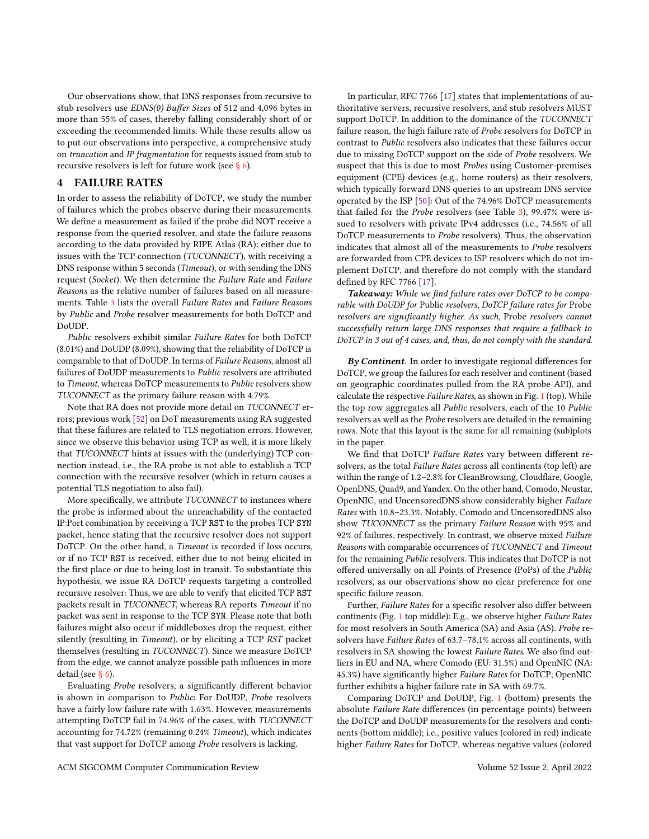Our observations show, that DNS responses from recursive to stub resolvers use EDNS(0) Buffer Sizes of 512 and 4,096 bytes in more than 55% of cases, thereby falling considerably short of or exceeding the recommended limits. While these results allow us to put our observations into perspective, a comprehensive study on truncation and IP fragmentation for requests issued from stub to recursive resolvers is left for future work (see [§ 6\)](#page-9-0).

## <span id="page-5-0"></span>4 FAILURE RATES

In order to assess the reliability of DoTCP, we study the number of failures which the probes observe during their measurements. We define a measurement as failed if the probe did NOT receive a response from the queried resolver, and state the failure reasons according to the data provided by RIPE Atlas (RA): either due to issues with the TCP connection (TUCONNECT), with receiving a DNS response within 5 seconds (Timeout), or with sending the DNS request (Socket). We then determine the Failure Rate and Failure Reasons as the relative number of failures based on all measurements. Table [3](#page-4-0) lists the overall Failure Rates and Failure Reasons by Public and Probe resolver measurements for both DoTCP and DoUDP.

Public resolvers exhibit similar Failure Rates for both DoTCP (8.01%) and DoUDP (8.09%), showing that the reliability of DoTCP is comparable to that of DoUDP. In terms of Failure Reasons, almost all failures of DoUDP measurements to Public resolvers are attributed to Timeout, whereas DoTCP measurements to Public resolvers show TUCONNECT as the primary failure reason with 4.79%.

Note that RA does not provide more detail on TUCONNECT errors; previous work [\[52\]](#page-11-9) on DoT measurements using RA suggested that these failures are related to TLS negotiation errors. However, since we observe this behavior using TCP as well, it is more likely that TUCONNECT hints at issues with the (underlying) TCP connection instead, i.e., the RA probe is not able to establish a TCP connection with the recursive resolver (which in return causes a potential TLS negotiation to also fail).

More specifically, we attribute TUCONNECT to instances where the probe is informed about the unreachability of the contacted IP:Port combination by receiving a TCP RST to the probes TCP SYN packet, hence stating that the recursive resolver does not support DoTCP. On the other hand, a Timeout is recorded if loss occurs, or if no TCP RST is received, either due to not being elicited in the first place or due to being lost in transit. To substantiate this hypothesis, we issue RA DoTCP requests targeting a controlled recursive resolver: Thus, we are able to verify that elicited TCP RST packets result in TUCONNECT, whereas RA reports Timeout if no packet was sent in response to the TCP SYN. Please note that both failures might also occur if middleboxes drop the request, either silently (resulting in Timeout), or by eliciting a TCP RST packet themselves (resulting in TUCONNECT). Since we measure DoTCP from the edge, we cannot analyze possible path influences in more detail (see [§ 6\)](#page-9-0).

Evaluating Probe resolvers, a significantly different behavior is shown in comparison to Public: For DoUDP, Probe resolvers have a fairly low failure rate with 1.63%. However, measurements attempting DoTCP fail in 74.96% of the cases, with TUCONNECT accounting for 74.72% (remaining 0.24% Timeout), which indicates that vast support for DoTCP among Probe resolvers is lacking.

In particular, RFC 7766 [\[17\]](#page-10-7) states that implementations of authoritative servers, recursive resolvers, and stub resolvers MUST support DoTCP. In addition to the dominance of the TUCONNECT failure reason, the high failure rate of Probe resolvers for DoTCP in contrast to Public resolvers also indicates that these failures occur due to missing DoTCP support on the side of Probe resolvers. We suspect that this is due to most Probes using Customer-premises equipment (CPE) devices (e.g., home routers) as their resolvers, which typically forward DNS queries to an upstream DNS service operated by the ISP [\[50\]](#page-11-16): Out of the 74.96% DoTCP measurements that failed for the Probe resolvers (see Table [3\)](#page-4-0), 99.47% were issued to resolvers with private IPv4 addresses (i.e., 74.56% of all DoTCP measurements to Probe resolvers). Thus, the observation indicates that almost all of the measurements to Probe resolvers are forwarded from CPE devices to ISP resolvers which do not implement DoTCP, and therefore do not comply with the standard defined by RFC 7766 [\[17\]](#page-10-7).

Takeaway: While we find failure rates over DoTCP to be comparable with DoUDP for Public resolvers, DoTCP failure rates for Probe resolvers are significantly higher. As such, Probe resolvers cannot successfully return large DNS responses that require a fallback to DoTCP in 3 out of 4 cases, and, thus, do not comply with the standard.

By Continent. In order to investigate regional differences for DoTCP, we group the failures for each resolver and continent (based on geographic coordinates pulled from the RA probe API), and calculate the respective Failure Rates, as shown in Fig. [1](#page-6-0) (top). While the top row aggregates all Public resolvers, each of the 10 Public resolvers as well as the Probe resolvers are detailed in the remaining rows. Note that this layout is the same for all remaining (sub)plots in the paper.

We find that DoTCP Failure Rates vary between different resolvers, as the total Failure Rates across all continents (top left) are within the range of 1.2–2.8% for CleanBrowsing, Cloudflare, Google, OpenDNS, Quad9, and Yandex. On the other hand, Comodo, Neustar, OpenNIC, and UncensoredDNS show considerably higher Failure Rates with 10.8–23.3%. Notably, Comodo and UncensoredDNS also show TUCONNECT as the primary Failure Reason with 95% and 92% of failures, respectively. In contrast, we observe mixed Failure Reasons with comparable occurrences of TUCONNECT and Timeout for the remaining Public resolvers. This indicates that DoTCP is not offered universally on all Points of Presence (PoPs) of the Public resolvers, as our observations show no clear preference for one specific failure reason.

Further, Failure Rates for a specific resolver also differ between continents (Fig. [1](#page-6-0) top middle): E.g., we observe higher Failure Rates for most resolvers in South America (SA) and Asia (AS). Probe resolvers have Failure Rates of 63.7–78.1% across all continents, with resolvers in SA showing the lowest Failure Rates. We also find outliers in EU and NA, where Comodo (EU: 31.5%) and OpenNIC (NA: 45.3%) have significantly higher Failure Rates for DoTCP; OpenNIC further exhibits a higher failure rate in SA with 69.7%.

Comparing DoTCP and DoUDP, Fig. [1](#page-6-0) (bottom) presents the absolute Failure Rate differences (in percentage points) between the DoTCP and DoUDP measurements for the resolvers and continents (bottom middle); i.e., positive values (colored in red) indicate higher Failure Rates for DoTCP, whereas negative values (colored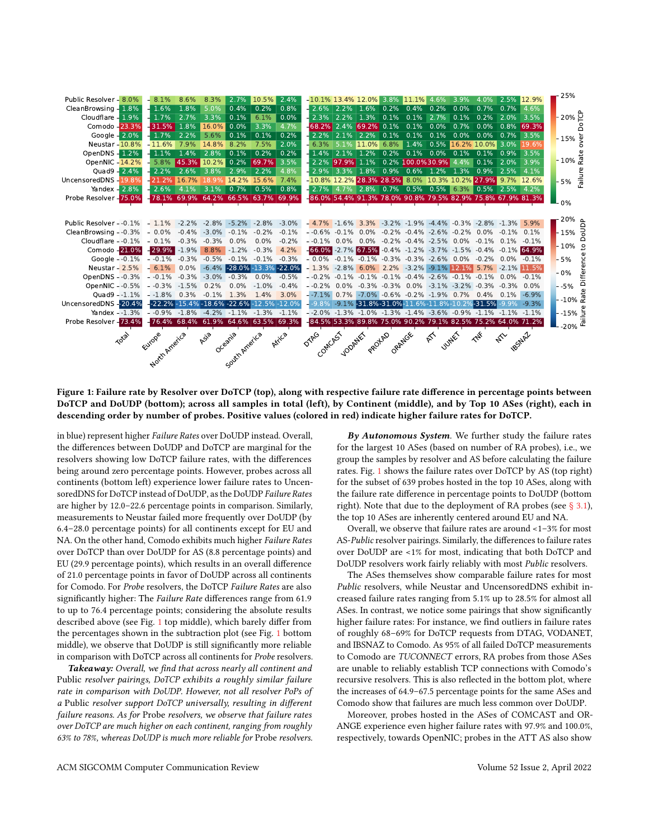<span id="page-6-0"></span>

| Public Resolver - 8.0%                                       | 8.1%                                              | 8.6%            | 8.3%                            | 2.7%          | 10.5%                               | 2.4%                                         | $-10.1\%$ 13.4% 12.0% 3.8% 11.1% 4.6%                                                     |                 |                                                   |              |                        | 3.9%                               | 4.0%              | 2.5% 12.9%          |  | 25%                                  |
|--------------------------------------------------------------|---------------------------------------------------|-----------------|---------------------------------|---------------|-------------------------------------|----------------------------------------------|-------------------------------------------------------------------------------------------|-----------------|---------------------------------------------------|--------------|------------------------|------------------------------------|-------------------|---------------------|--|--------------------------------------|
| CleanBrowsing - 1.8%                                         | 1.6%                                              | 1.8%            | 5.0%                            | 0.4%          | 0.2%                                | 0.8%                                         | $-2.6\%$                                                                                  | 2.2%            | 1.6%                                              | $0.2\%$ 0.4% | 0.2%                   | 0.0%                               | 0.7%              | $0.7\%$ 4.6%        |  |                                      |
| Cloudflare - 1.9%                                            | 1.7%                                              | 2.7%            | 3.3%                            | 0.1%          | 6.1%                                | 0.0%                                         | 2.3%                                                                                      | 2.2% 1.3%       |                                                   |              | $0.1\%$ 0.1% 2.7%      | 0.1%                               |                   | $0.2\%$ 2.0% 3.5%   |  | $20\%$ P                             |
| Comodo - 23.3%                                               | $-31.5%$                                          | 1.8%            | 16.0%                           | 0.0%          | 3.3%                                | 4.7%                                         | $-68.2\%$ 2.4% 69.2% 0.1% 0.1% 0.0%                                                       |                 |                                                   |              |                        | 0.7%                               |                   | $0.0\%$ 0.8% 69.3%  |  | Ó                                    |
| Google - 2.0%                                                | 1.7%                                              | 2.2%            | 5.6%                            | 0.1%          | 0.1%                                | 0.2%                                         |                                                                                           |                 | 2.2% 2.1% 2.2%                                    |              |                        | 0.1% 0.1% 0.1% 0.0% 0.0% 0.7% 3.5% |                   |                     |  | <mark>່</mark> - 15% <sup>ູ</sup> ້ບ |
| Neustar - 10.8%                                              | $-11.6%$                                          | 7.9%            | 14.8%                           | 8.2%          | 7.5%                                | 2.0%                                         | 6.3%                                                                                      |                 | 5.1% 11.0% 6.8% 1.4% 0.5% 16.2% 10.0% 3.0% 19.6%  |              |                        |                                    |                   |                     |  | ō                                    |
| OpenDNS - 1.2%                                               | 1.1%                                              | 1.4%            | 2.8%                            | 0.1%          | 0.2%                                | 0.2%                                         |                                                                                           | 1.4% 2.1% 1.2%  |                                                   |              | $0.2\%$ 0.1% 0.0% 0.1% |                                    | $0.1\%$           | $0.9\%$ 3.5%        |  |                                      |
| OpenNIC - 14.2%                                              | 5.8%                                              |                 | 45.3% 10.2%                     | 0.2%          | 69.7%                               | 3.5%                                         |                                                                                           | 2.2% 97.9% 1.1% |                                                   |              | 0.2% 100.0% 30.9% 4.4% |                                    |                   | 0.1% 2.0% 3.9%      |  | $-10\% \frac{1}{5}$                  |
| Ouad9 - 2.4%                                                 | 2.2%                                              | 2.6%            | 3.8%                            | 2.9%          | 2.2%                                | 4.8%                                         |                                                                                           | 2.9% 3.3% 1.8%  |                                                   |              |                        | $0.9\%$ 0.6% 1.2% 1.3%             | $0.9\%$ 2.5% 4.1% |                     |  |                                      |
| UncensoredDNS - 19.8%                                        | $-21.2%$                                          | 16.7%           | 18.9%                           |               | 14.2% 15.6%                         | 7.4%                                         | $-10.8\%$ 12.2% 28.3% 28.5% 8.0% 10.3% 10.2% 27.9% 9.7% 12.6%                             |                 |                                                   |              |                        |                                    |                   |                     |  | Failure<br>$-5%$                     |
| Yandex $-2.8%$                                               | 2.6%                                              | 4.1%            | 3.1%                            | $0.7\%$       | 0.5%                                | 0.8%                                         |                                                                                           |                 | 2.7% 4.7% 2.8% 0.7% 0.5% 0.5% 6.3% 0.5% 2.5% 4.2% |              |                        |                                    |                   |                     |  |                                      |
| Probe Resolver - 75.0%                                       |                                                   |                 |                                 |               | 78.1% 69.9% 64.2% 66.5% 63.7% 69.9% |                                              | -86.0% 54.4% 91.3% 78.0% 90.8% 79.5% 82.9% 75.8% 67.9% 81.3%                              |                 |                                                   |              |                        |                                    |                   |                     |  |                                      |
|                                                              |                                                   |                 |                                 |               |                                     |                                              |                                                                                           |                 |                                                   |              |                        |                                    |                   |                     |  | 0%                                   |
|                                                              |                                                   |                 |                                 |               |                                     |                                              |                                                                                           |                 |                                                   |              |                        |                                    |                   |                     |  | $20\%$ $\Delta$                      |
| Public Resolver - $-0.1\%$ - $1.1\%$                         |                                                   |                 |                                 |               | $-2.2\% -2.8\% -5.2\% -2.8\%$       | $-3.0\%$                                     | $-4.7\%$ $-1.6\%$ 3.3% $-3.2\%$ $-1.9\%$ $-4.4\%$ $-0.3\%$ $-2.8\%$ $-1.3\%$ 5.9%         |                 |                                                   |              |                        |                                    |                   |                     |  |                                      |
| CleanBrowsing - $-0.3\%$ - 0.0%                              |                                                   |                 |                                 |               | $-0.4\%$ $-3.0\%$ $-0.1\%$ $-0.2\%$ | $-0.1\%$                                     | $-0.6\%$ $-0.1\%$ 0.0% $-0.2\%$ $-0.4\%$ $-2.6\%$ $-0.2\%$ 0.0% $-0.1\%$ 0.1%             |                 |                                                   |              |                        |                                    |                   |                     |  | $-15%$ 긍                             |
| Cloudflare - $-0.1\%$ - $0.1\%$                              |                                                   | $-0.3\% -0.3\%$ |                                 | $0.0\%$       | $0.0\%$                             | $-0.2%$                                      | $-0.1\%$ 0.0% 0.0% $-0.2\%$ $-0.4\%$ $-2.5\%$ 0.0% $-0.1\%$ 0.1% $-0.1\%$                 |                 |                                                   |              |                        |                                    |                   |                     |  | e 10% -                              |
| Comodo - 21.0%                                               | $-29.9%$                                          |                 | $-1.9\%$ 8.8% $-1.2\%$ $-0.3\%$ |               |                                     | 4.2%                                         | $-66.0\% -2.7\%$ 67.5% $-0.4\% -1.2\% -3.7\% -1.5\% -0.4\% -0.1\%$ 64.9%                  |                 |                                                   |              |                        |                                    |                   |                     |  |                                      |
| Google - $-0.1\%$ - $-0.1\%$                                 |                                                   |                 |                                 |               |                                     | $-0.3\%$ $-0.5\%$ $-0.1\%$ $-0.1\%$ $-0.3\%$ | $-0.0\%$ $-0.1\%$ $-0.1\%$ $-0.3\%$ $-0.3\%$ $-2.6\%$ 0.0% $-0.2\%$ 0.0% $-0.1\%$         |                 |                                                   |              |                        |                                    |                   |                     |  | $-5%$                                |
| Neustar - $2.5%$                                             | $-6.1\%$                                          | 0.0%            |                                 |               |                                     | $-6.4\%$ $-28.0\%$ $-13.3\%$ $-22.0\%$       | $-1.3\%$ $-2.8\%$ 6.0% 2.2% $-3.2\%$ $-9.1\%$ 12.1% 5.7% $-2.1\%$ 11.5%                   |                 |                                                   |              |                        |                                    |                   |                     |  | $-0%$                                |
| OpenDNS - -0.3% - -0.1% -0.3% -3.0% -0.3% 0.0% -0.5%         |                                                   |                 |                                 |               |                                     |                                              | $-0.2\%$ $-0.1\%$ $-0.1\%$ $-0.1\%$ $-0.4\%$ $-2.6\%$ $-0.1\%$ $-0.1\%$ 0.0% $-0.1\%$     |                 |                                                   |              |                        |                                    |                   |                     |  | Difference                           |
| OpenNIC - -0.5%                                              | $-0.3\% -1.5\%$                                   |                 | 0.2%                            | $0.0\%$       | $-1.0\%$                            | $-0.4%$                                      | $-0.2\%$ 0.0% $-0.3\%$ $-0.3\%$ 0.0% $-3.1\%$ $-3.2\%$ $-0.3\%$ $-0.3\%$ 0.0%             |                 |                                                   |              |                        |                                    |                   |                     |  | $- -5%$                              |
| Ouad9 - $-1.1\%$ - $-1.8\%$                                  |                                                   | 0.3%            | $-0.1%$                         | 1.3%          | 1.4%                                | 3.0%                                         | $-7.1\%$ 0.7% $-7.0\%$ -0.6% $-0.2\%$ -1.9% 0.7% 0.4% 0.1% -6.9%                          |                 |                                                   |              |                        |                                    |                   |                     |  |                                      |
| UncensoredDNS -- 20.4%                                       | $-22.2\% -15.4\% -18.6\% -22.6\% -12.5\% -12.0\%$ |                 |                                 |               |                                     |                                              | $-9.8\%$ $-9.1\%$ $-31.8\%$ -31.0% $-11.6\%$ -11.8%-10.2% $-31.5\%$ -9.9% -9.3%           |                 |                                                   |              |                        |                                    |                   |                     |  |                                      |
| Yandex - -1.3% - -0.9% -1.8% -4.2% -1.1% -1.3% -1.1%         |                                                   |                 |                                 |               |                                     |                                              | $-2.0\%$ $-1.3\%$ $-1.0\%$ $-1.3\%$ $-1.4\%$ $-3.6\%$ $-0.9\%$ $-1.1\%$ $-1.1\%$ $-1.1\%$ |                 |                                                   |              |                        |                                    |                   |                     |  | $-15\% \stackrel{\text{g}}{=}$       |
| Probe Resolver - 73.4% - 76.4% 68.4% 61.9% 64.6% 63.5% 69.3% |                                                   |                 |                                 |               |                                     |                                              | -84.5% 53.3% 89.8% 75.0% 90.2% 79.1% 82.5% 75.2% 64.0% 71.2%                              |                 |                                                   |              |                        |                                    |                   |                     |  | -20% $^{\overline{\mathfrak{C}}}$    |
|                                                              |                                                   |                 |                                 |               |                                     |                                              |                                                                                           |                 |                                                   |              |                        |                                    |                   |                     |  |                                      |
| <b>Total</b>                                                 | Europe                                            |                 | Asia                            | Oceania       |                                     | Africa                                       | <b>OTAGO</b>                                                                              |                 |                                                   |              | $\mathbb{R}^k$         | <b>Julyer</b>                      | TAK               | 185NA7<br>$\approx$ |  |                                      |
|                                                              | North America                                     |                 |                                 | South America |                                     |                                              |                                                                                           |                 | Comcass young protect organise                    |              |                        |                                    |                   |                     |  |                                      |
|                                                              |                                                   |                 |                                 |               |                                     |                                              |                                                                                           |                 |                                                   |              |                        |                                    |                   |                     |  |                                      |
|                                                              |                                                   |                 |                                 |               |                                     |                                              |                                                                                           |                 |                                                   |              |                        |                                    |                   |                     |  |                                      |

Figure 1: Failure rate by Resolver over DoTCP (top), along with respective failure rate difference in percentage points between DoTCP and DoUDP (bottom); across all samples in total (left), by Continent (middle), and by Top 10 ASes (right), each in descending order by number of probes. Positive values (colored in red) indicate higher failure rates for DoTCP.

in blue) represent higher Failure Rates over DoUDP instead. Overall, the differences between DoUDP and DoTCP are marginal for the resolvers showing low DoTCP failure rates, with the differences being around zero percentage points. However, probes across all continents (bottom left) experience lower failure rates to UncensoredDNS for DoTCP instead of DoUDP, as the DoUDP Failure Rates are higher by 12.0–22.6 percentage points in comparison. Similarly, measurements to Neustar failed more frequently over DoUDP (by 6.4–28.0 percentage points) for all continents except for EU and NA. On the other hand, Comodo exhibits much higher Failure Rates over DoTCP than over DoUDP for AS (8.8 percentage points) and EU (29.9 percentage points), which results in an overall difference of 21.0 percentage points in favor of DoUDP across all continents for Comodo. For Probe resolvers, the DoTCP Failure Rates are also significantly higher: The Failure Rate differences range from 61.9 to up to 76.4 percentage points; considering the absolute results described above (see Fig. [1](#page-6-0) top middle), which barely differ from the percentages shown in the subtraction plot (see Fig. [1](#page-6-0) bottom middle), we observe that DoUDP is still significantly more reliable in comparison with DoTCP across all continents for Probe resolvers.

Takeaway: Overall, we find that across nearly all continent and Public resolver pairings, DoTCP exhibits a roughly similar failure rate in comparison with DoUDP. However, not all resolver PoPs of a Public resolver support DoTCP universally, resulting in different failure reasons. As for Probe resolvers, we observe that failure rates over DoTCP are much higher on each continent, ranging from roughly 63% to 78%, whereas DoUDP is much more reliable for Probe resolvers.

By Autonomous System. We further study the failure rates for the largest 10 ASes (based on number of RA probes), i.e., we group the samples by resolver and AS before calculating the failure rates. Fig. [1](#page-6-0) shows the failure rates over DoTCP by AS (top right) for the subset of 639 probes hosted in the top 10 ASes, along with the failure rate difference in percentage points to DoUDP (bottom right). Note that due to the deployment of RA probes (see  $\S$  3.1), the top 10 ASes are inherently centered around EU and NA.

Overall, we observe that failure rates are around <1–3% for most AS-Public resolver pairings. Similarly, the differences to failure rates over DoUDP are <1% for most, indicating that both DoTCP and DoUDP resolvers work fairly reliably with most Public resolvers.

The ASes themselves show comparable failure rates for most Public resolvers, while Neustar and UncensoredDNS exhibit increased failure rates ranging from 5.1% up to 28.5% for almost all ASes. In contrast, we notice some pairings that show significantly higher failure rates: For instance, we find outliers in failure rates of roughly 68–69% for DoTCP requests from DTAG, VODANET, and IBSNAZ to Comodo. As 95% of all failed DoTCP measurements to Comodo are TUCONNECT errors, RA probes from those ASes are unable to reliably establish TCP connections with Comodo's recursive resolvers. This is also reflected in the bottom plot, where the increases of 64.9–67.5 percentage points for the same ASes and Comodo show that failures are much less common over DoUDP.

Moreover, probes hosted in the ASes of COMCAST and OR-ANGE experience even higher failure rates with 97.9% and 100.0%, respectively, towards OpenNIC; probes in the ATT AS also show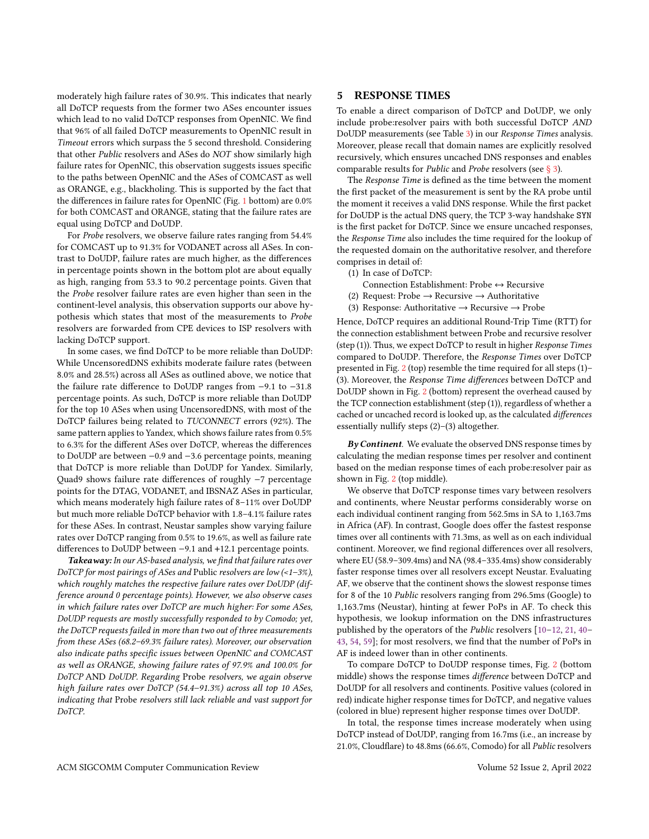moderately high failure rates of 30.9%. This indicates that nearly all DoTCP requests from the former two ASes encounter issues which lead to no valid DoTCP responses from OpenNIC. We find that 96% of all failed DoTCP measurements to OpenNIC result in Timeout errors which surpass the 5 second threshold. Considering that other Public resolvers and ASes do NOT show similarly high failure rates for OpenNIC, this observation suggests issues specific to the paths between OpenNIC and the ASes of COMCAST as well as ORANGE, e.g., blackholing. This is supported by the fact that the differences in failure rates for OpenNIC (Fig. [1](#page-6-0) bottom) are 0.0% for both COMCAST and ORANGE, stating that the failure rates are equal using DoTCP and DoUDP.

For Probe resolvers, we observe failure rates ranging from 54.4% for COMCAST up to 91.3% for VODANET across all ASes. In contrast to DoUDP, failure rates are much higher, as the differences in percentage points shown in the bottom plot are about equally as high, ranging from 53.3 to 90.2 percentage points. Given that the Probe resolver failure rates are even higher than seen in the continent-level analysis, this observation supports our above hypothesis which states that most of the measurements to Probe resolvers are forwarded from CPE devices to ISP resolvers with lacking DoTCP support.

In some cases, we find DoTCP to be more reliable than DoUDP: While UncensoredDNS exhibits moderate failure rates (between 8.0% and 28.5%) across all ASes as outlined above, we notice that the failure rate difference to DoUDP ranges from −9.1 to −31.8 percentage points. As such, DoTCP is more reliable than DoUDP for the top 10 ASes when using UncensoredDNS, with most of the DoTCP failures being related to TUCONNECT errors (92%). The same pattern applies to Yandex, which shows failure rates from 0.5% to 6.3% for the different ASes over DoTCP, whereas the differences to DoUDP are between −0.9 and −3.6 percentage points, meaning that DoTCP is more reliable than DoUDP for Yandex. Similarly, Quad9 shows failure rate differences of roughly −7 percentage points for the DTAG, VODANET, and IBSNAZ ASes in particular, which means moderately high failure rates of 8–11% over DoUDP but much more reliable DoTCP behavior with 1.8–4.1% failure rates for these ASes. In contrast, Neustar samples show varying failure rates over DoTCP ranging from 0.5% to 19.6%, as well as failure rate differences to DoUDP between −9.1 and +12.1 percentage points.

Takeaway: In our AS-based analysis, we find that failure rates over DoTCP for most pairings of ASes and Public resolvers are low (<1–3%), which roughly matches the respective failure rates over DoUDP (difference around 0 percentage points). However, we also observe cases in which failure rates over DoTCP are much higher: For some ASes, DoUDP requests are mostly successfully responded to by Comodo; yet, the DoTCP requests failed in more than two out of three measurements from these ASes (68.2–69.3% failure rates). Moreover, our observation also indicate paths specific issues between OpenNIC and COMCAST as well as ORANGE, showing failure rates of 97.9% and 100.0% for DoTCP AND DoUDP. Regarding Probe resolvers, we again observe high failure rates over DoTCP (54.4–91.3%) across all top 10 ASes, indicating that Probe resolvers still lack reliable and vast support for DoTCP.

## <span id="page-7-0"></span>5 RESPONSE TIMES

To enable a direct comparison of DoTCP and DoUDP, we only include probe:resolver pairs with both successful DoTCP AND DoUDP measurements (see Table [3\)](#page-4-0) in our Response Times analysis. Moreover, please recall that domain names are explicitly resolved recursively, which ensures uncached DNS responses and enables comparable results for Public and Probe resolvers (see [§ 3\)](#page-2-0).

The Response Time is defined as the time between the moment the first packet of the measurement is sent by the RA probe until the moment it receives a valid DNS response. While the first packet for DoUDP is the actual DNS query, the TCP 3-way handshake SYN is the first packet for DoTCP. Since we ensure uncached responses, the Response Time also includes the time required for the lookup of the requested domain on the authoritative resolver, and therefore comprises in detail of:

- (1) In case of DoTCP:
- Connection Establishment: Probe ↔ Recursive
- (2) Request: Probe  $\rightarrow$  Recursive  $\rightarrow$  Authoritative
- (3) Response: Authoritative  $\rightarrow$  Recursive  $\rightarrow$  Probe

Hence, DoTCP requires an additional Round-Trip Time (RTT) for the connection establishment between Probe and recursive resolver (step (1)). Thus, we expect DoTCP to result in higher Response Times compared to DoUDP. Therefore, the Response Times over DoTCP presented in Fig. [2](#page-8-0) (top) resemble the time required for all steps (1)– (3). Moreover, the Response Time differences between DoTCP and DoUDP shown in Fig. [2](#page-8-0) (bottom) represent the overhead caused by the TCP connection establishment (step (1)), regardless of whether a cached or uncached record is looked up, as the calculated differences essentially nullify steps (2)–(3) altogether.

 $By Continent.$  We evaluate the observed DNS response times by calculating the median response times per resolver and continent based on the median response times of each probe:resolver pair as shown in Fig. [2](#page-8-0) (top middle).

We observe that DoTCP response times vary between resolvers and continents, where Neustar performs considerably worse on each individual continent ranging from 562.5ms in SA to 1,163.7ms in Africa (AF). In contrast, Google does offer the fastest response times over all continents with 71.3ms, as well as on each individual continent. Moreover, we find regional differences over all resolvers, where EU (58.9–309.4ms) and NA (98.4–335.4ms) show considerably faster response times over all resolvers except Neustar. Evaluating AF, we observe that the continent shows the slowest response times for 8 of the 10 Public resolvers ranging from 296.5ms (Google) to 1,163.7ms (Neustar), hinting at fewer PoPs in AF. To check this hypothesis, we lookup information on the DNS infrastructures published by the operators of the Public resolvers [\[10–](#page-10-28)[12,](#page-10-29) [21,](#page-10-30) [40–](#page-11-17) [43,](#page-11-18) [54,](#page-11-19) [59\]](#page-11-20); for most resolvers, we find that the number of PoPs in AF is indeed lower than in other continents.

To compare DoTCP to DoUDP response times, Fig. [2](#page-8-0) (bottom middle) shows the response times difference between DoTCP and DoUDP for all resolvers and continents. Positive values (colored in red) indicate higher response times for DoTCP, and negative values (colored in blue) represent higher response times over DoUDP.

In total, the response times increase moderately when using DoTCP instead of DoUDP, ranging from 16.7ms (i.e., an increase by 21.0%, Cloudflare) to 48.8ms (66.6%, Comodo) for all Public resolvers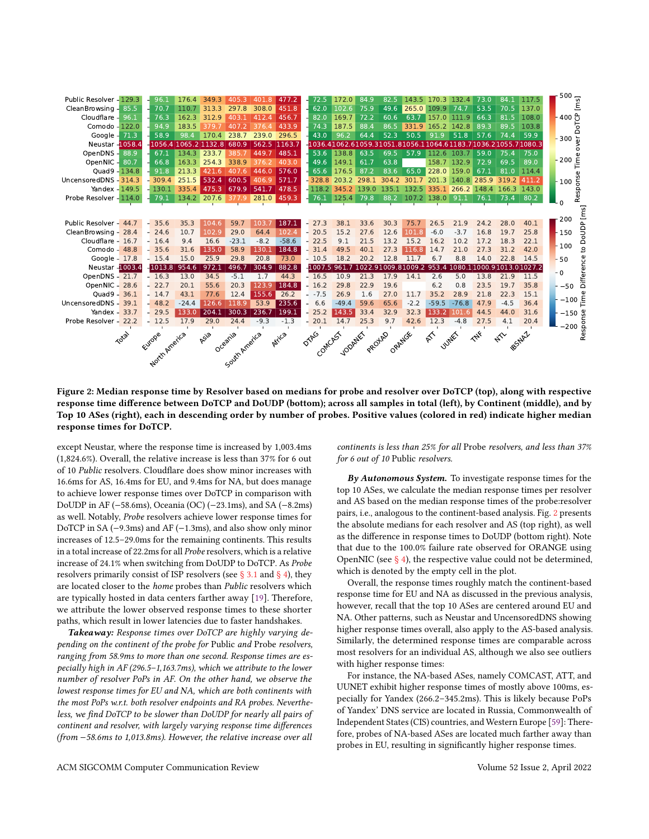<span id="page-8-0"></span>

| Public Resolver - 129.3 |       | 96.1          | 176.4                | 349.3 | 405.3         | 401.8  | 477.2   | 72.5     | 172.0                | 84.9           | 82.5   | 143.5                                                         | 170.3 132.4         |              | 73.0                  | 84.1        | 117.5              | $500  E$                                                                                                                                                                                                                                                  |
|-------------------------|-------|---------------|----------------------|-------|---------------|--------|---------|----------|----------------------|----------------|--------|---------------------------------------------------------------|---------------------|--------------|-----------------------|-------------|--------------------|-----------------------------------------------------------------------------------------------------------------------------------------------------------------------------------------------------------------------------------------------------------|
| CleanBrowsing -         | 85.5  | 70.7          | 110.7                | 313.3 | 297.8         | 308.0  | 451.8   | 62.0     | 102.6                | 75.9           | 49.6   | 265.0                                                         | 109.9               | 74.7         | 53.5                  | 70.5        | 137.0              |                                                                                                                                                                                                                                                           |
| Cloudflare -            | 96.1  | 76.3          | 162.3                | 312.9 | 403.1         | 412.4  | 456.7   | 82.0     | 169.7                | 72.2           | 60.6   | 63.7                                                          | 157.0 111.9         |              | 66.3                  | 81.5        | 108.0              |                                                                                                                                                                                                                                                           |
| Comodo - 122.0          |       | 94.9          | 183.5                | 379.7 | 407.2         | 376.4  | 433.9   | 74.3     | 187.5                | 88.4           | 86.5   | 331.9                                                         | 165.2               | 142.8        | 89.3                  | 89.5        | 103.8              | $\frac{1}{2}$ 400 $\frac{1}{2}$                                                                                                                                                                                                                           |
| Google - 71.3           |       | 58.9          | 98.4                 | 170.4 | 238.7         | 239.0  | 296.5   | 43.0     | 96.2                 | 64.4           | 52.3   | 50.5                                                          | 91.9                | 51.8         | 57.6                  | 74.4        | 59.9               | - 300 ៉ិ                                                                                                                                                                                                                                                  |
| <b>Neustar - 1058.4</b> |       |               | 1056.4 1065.2 1132.8 |       | 680.9         | 562.5  | 1163.7  |          |                      |                |        | -1036.41062.61059.31051.81056.11064.61183.71036.21055.71080.3 |                     |              |                       |             |                    | Ō                                                                                                                                                                                                                                                         |
| OpenDNS-                | 88.9  | 67.1          | 134.3                | 233.7 | 385.7         | 449.7  | 485.1   | 53.6     | 138.8                | 63.5           | 69.5   | 57.9                                                          | 112.6               | 103.7        | 59.0                  | 75.4        | 75.0               |                                                                                                                                                                                                                                                           |
| OpenNIC - 80.7          |       | 66.8          | 163.3                | 254.3 | 338.9         | 376.2  | 403.0   | 49.6     | 149.1                | 61.7           | 63.8   |                                                               |                     | 158.7 132.9  | 72.9                  | 69.5        | 89.0               | $-200E$                                                                                                                                                                                                                                                   |
| Ouad9 - 134.8           |       | 91.8          | 213.3                | 421.6 | 407.6         | 446.0  | 576.0   | 65.6     | 176.5                | 87.2           | 83.6   | 65.0                                                          | 228.0               | 159.0        | 67.1                  | 81.0        | 114.4              |                                                                                                                                                                                                                                                           |
| UncensoredDNS - 314.3   |       | 309.4         | 251.5                | 532.4 | 600.5         | 406.9  | 571.7   | 328.8    | 203.2 298.1          |                | 304.2  | 301.7                                                         | 201.3               | 140.8        | 285.9                 | 319.2 411.2 |                    |                                                                                                                                                                                                                                                           |
| Yandex - 149.5          |       | 130.1         | 335.4                | 475.3 | 679.9         | 541.7  | 478.5   |          | $-118.2$ 345.2 139.0 |                | 135.1  | 132.5                                                         |                     | 335.1 266.2  | 148.4 166.3           |             | 143.0              |                                                                                                                                                                                                                                                           |
| Probe Resolver - 114.0  |       | 79.1          | 134.2                | 207.6 | 377.9         | 281.0  | 459.3   | 76.1     | 125.4                | 79.8           | 88.2   |                                                               | 107.2 138.0         | 91.1         | 76.1                  | 73.4        | 80.2               | $-100\frac{\text{S}}{\text{G}}$                                                                                                                                                                                                                           |
|                         |       |               |                      |       |               |        |         |          |                      |                |        |                                                               |                     |              |                       |             |                    |                                                                                                                                                                                                                                                           |
|                         |       |               |                      |       |               |        |         |          |                      |                |        |                                                               |                     |              |                       |             |                    | [ms]<br>200                                                                                                                                                                                                                                               |
| Public Resolver - 44.7  |       | $-35.6$       | 35.3                 | 104.6 | 59.7          | 103.7  | 187.1   | $-27.3$  | 38.1                 | 33.6           | 30.3   | 75.7                                                          | 26.5                | 21.9         | 24.2                  | 28.0        | 40.1               |                                                                                                                                                                                                                                                           |
| CleanBrowsing - 28.4    |       | $-24.6$       | 10.7                 | 102.9 | 29.0          | 64.4   | 102.4   | $-20.5$  | 15.2                 | 27.6           | 12.6   | 101.8                                                         | $-6.0$              | $-3.7$       | 16.8                  | 19.7        | 25.8               | to DoUDP<br>- 150                                                                                                                                                                                                                                         |
| Cloudflare - 16.7       |       | $-16.4$       | 9.4                  | 16.6  | $-23.1$       | $-8.2$ | $-58.6$ | $-22.5$  | 9.1                  | 21.5           | 13.2   | 15.2                                                          | 16.2                | 10.2         | 17.2                  | 18.3        | 22.1               | $-100$                                                                                                                                                                                                                                                    |
| Comodo - 48.8           |       | $-35.6$       | 31.6                 | 135.0 | 58.9          | 130.1  | 184.8   | $-31.4$  | 49.5                 | 40.1           | 27.3   | 116.8                                                         | 14.7                | 21.0         | 27.3                  | 31.2        | 42.0               |                                                                                                                                                                                                                                                           |
| Google - 17.8           |       | $-15.4$       | 15.0                 | 25.9  | 29.8          | 20.8   | 73.0    | $-10.5$  | 18.2                 | 20.2           | 12.8   | 11.7                                                          | 6.7                 | 8.8          | 14.0                  | 22.8        | 14.5               | $-50$                                                                                                                                                                                                                                                     |
| <b>Neustar - 1003.4</b> |       | $-1013.8$     | 954.6                | 972.1 | 496.7         | 304.9  | 882.8   |          | $-1007.5961.7$       |                |        | 1022.91009.81009.2 953.4                                      |                     | 1080.1       |                       |             | 1000.91013.01027.2 | Difference<br>$-0$                                                                                                                                                                                                                                        |
| OpenDNS - 21.7          |       | $-16.3$       | 13.0                 | 34.5  | $-5.1$        | 1.7    | 44.3    | $-16.5$  | 10.9                 | 21.3           | 17.9   | 14.1                                                          | 2.6                 | 5.0          | 13.8                  | 21.9        | 11.5               |                                                                                                                                                                                                                                                           |
| OpenNIC - 28.6          |       | $-22.7$       | 20.1                 | 55.6  | 20.3          | 123.9  | 184.8   | $-16.2$  | 29.8                 | 22.9           | 19.6   |                                                               | 6.2                 | 0.8          | 23.5                  | 19.7        | 35.8               | $-50$                                                                                                                                                                                                                                                     |
| Ouad9 - 36.1            |       | $-14.7$       | 43.1                 | 77.6  | 12.4          | 155.6  | 26.2    | $- -7.5$ | 26.9                 | 1.6            | 27.0   | 11.7                                                          | 35.2                | 28.9         | 21.8                  | 22.3        | 15.1               | $-100 \frac{e}{E}$                                                                                                                                                                                                                                        |
| UncensoredDNS - 39.1    |       | $-48.2$       | $-24.4$              | 126.6 | 118.9         | 53.9   | 235.6   | 6.6      | $-49.4$              | 59.6           | 65.6   | $-2.2$                                                        | $-59.5$             | $-76.8$      | 47.9                  | $-4.5$      | 36.4               |                                                                                                                                                                                                                                                           |
| Yandex - 33.7           |       | $-29.5$       | 133.0                | 204.1 | 300.3         | 236.7  | 199.1   | $-25.2$  | 143.5                | 33.4           | 32.9   | 32.3                                                          |                     | 133.2 101.6  | 44.5                  | 44.0        | 31.6               |                                                                                                                                                                                                                                                           |
| Probe Resolver - 22.2   |       | $-12.5$       | 17.9                 | 29.0  | 24.4          | $-9.3$ | $-1.3$  | $-20.1$  | 14.7                 | 25.3           | 9.7    | 42.6                                                          | 12.3                | $-4.8$       | 27.5                  | 4.1         | 20.4               |                                                                                                                                                                                                                                                           |
|                         |       |               |                      |       |               |        |         |          |                      |                |        |                                                               |                     |              |                       |             |                    | $-150$ ights $-200$ ights $200$ ights $200$ ights $200$ ights $200$ in the set of $\approx 200$ in the set of $\approx 200$ in the set of $\approx 200$ in the set of $\approx 200$ in the set of $\approx 200$ in the set of $\approx 200$ in the set of |
|                         | Total |               |                      | Asia  | Oceania       |        | Arrica  | DTAG     |                      |                |        |                                                               | $\hat{\mathscr{C}}$ | <b>JUME!</b> | $\times \mathbb{R}^k$ | $A^{\sim}$  | 18SNAZ             |                                                                                                                                                                                                                                                           |
|                         |       | North America |                      |       | South America |        |         | Comcass  |                      | 100ANE PROTAGE | ORANGE |                                                               |                     |              |                       |             |                    |                                                                                                                                                                                                                                                           |
|                         |       |               |                      |       |               |        |         |          |                      |                |        |                                                               |                     |              |                       |             |                    |                                                                                                                                                                                                                                                           |
|                         |       |               |                      |       |               |        |         |          |                      |                |        |                                                               |                     |              |                       |             |                    |                                                                                                                                                                                                                                                           |

Figure 2: Median response time by Resolver based on medians for probe and resolver over DoTCP (top), along with respective response time difference between DoTCP and DoUDP (bottom); across all samples in total (left), by Continent (middle), and by Top 10 ASes (right), each in descending order by number of probes. Positive values (colored in red) indicate higher median response times for DoTCP.

except Neustar, where the response time is increased by 1,003.4ms (1,824.6%). Overall, the relative increase is less than 37% for 6 out of 10 Public resolvers. Cloudflare does show minor increases with 16.6ms for AS, 16.4ms for EU, and 9.4ms for NA, but does manage to achieve lower response times over DoTCP in comparison with DoUDP in AF (−58.6ms), Oceania (OC) (−23.1ms), and SA (−8.2ms) as well. Notably, Probe resolvers achieve lower response times for DoTCP in SA (−9.3ms) and AF (−1.3ms), and also show only minor increases of 12.5–29.0ms for the remaining continents. This results in a total increase of 22.2ms for all Probe resolvers, which is a relative increase of 24.1% when switching from DoUDP to DoTCP. As Probe resolvers primarily consist of ISP resolvers (see  $\S 3.1$  and  $\S 4$ ), they are located closer to the home probes than Public resolvers which are typically hosted in data centers farther away [\[19\]](#page-10-11). Therefore, we attribute the lower observed response times to these shorter paths, which result in lower latencies due to faster handshakes.

Takeaway: Response times over DoTCP are highly varying depending on the continent of the probe for Public and Probe resolvers, ranging from 58.9ms to more than one second. Response times are especially high in AF (296.5–1,163.7ms), which we attribute to the lower number of resolver PoPs in AF. On the other hand, we observe the lowest response times for EU and NA, which are both continents with the most PoPs w.r.t. both resolver endpoints and RA probes. Nevertheless, we find DoTCP to be slower than DoUDP for nearly all pairs of continent and resolver, with largely varying response time differences (from −58.6ms to 1,013.8ms). However, the relative increase over all

continents is less than 25% for all Probe resolvers, and less than 37% for 6 out of 10 Public resolvers.

By Autonomous System. To investigate response times for the top 10 ASes, we calculate the median response times per resolver and AS based on the median response times of the probe:resolver pairs, i.e., analogous to the continent-based analysis. Fig. [2](#page-8-0) presents the absolute medians for each resolver and AS (top right), as well as the difference in response times to DoUDP (bottom right). Note that due to the 100.0% failure rate observed for ORANGE using OpenNIC (see  $\S$  4), the respective value could not be determined, which is denoted by the empty cell in the plot.

Overall, the response times roughly match the continent-based response time for EU and NA as discussed in the previous analysis, however, recall that the top 10 ASes are centered around EU and NA. Other patterns, such as Neustar and UncensoredDNS showing higher response times overall, also apply to the AS-based analysis. Similarly, the determined response times are comparable across most resolvers for an individual AS, although we also see outliers with higher response times:

For instance, the NA-based ASes, namely COMCAST, ATT, and UUNET exhibit higher response times of mostly above 100ms, especially for Yandex (266.2–345.2ms). This is likely because PoPs of Yandex' DNS service are located in Russia, Commonwealth of Independent States (CIS) countries, and Western Europe [\[59\]](#page-11-20): Therefore, probes of NA-based ASes are located much farther away than probes in EU, resulting in significantly higher response times.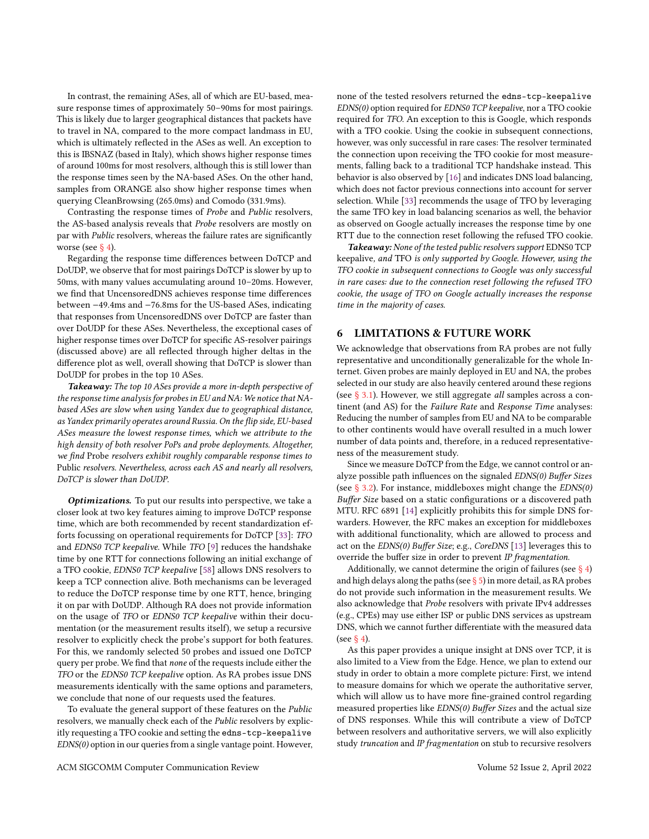In contrast, the remaining ASes, all of which are EU-based, measure response times of approximately 50–90ms for most pairings. This is likely due to larger geographical distances that packets have to travel in NA, compared to the more compact landmass in EU, which is ultimately reflected in the ASes as well. An exception to this is IBSNAZ (based in Italy), which shows higher response times of around 100ms for most resolvers, although this is still lower than the response times seen by the NA-based ASes. On the other hand, samples from ORANGE also show higher response times when querying CleanBrowsing (265.0ms) and Comodo (331.9ms).

Contrasting the response times of Probe and Public resolvers, the AS-based analysis reveals that Probe resolvers are mostly on par with Public resolvers, whereas the failure rates are significantly worse (see  $\S$  4).

Regarding the response time differences between DoTCP and DoUDP, we observe that for most pairings DoTCP is slower by up to 50ms, with many values accumulating around 10–20ms. However, we find that UncensoredDNS achieves response time differences between −49.4ms and −76.8ms for the US-based ASes, indicating that responses from UncensoredDNS over DoTCP are faster than over DoUDP for these ASes. Nevertheless, the exceptional cases of higher response times over DoTCP for specific AS-resolver pairings (discussed above) are all reflected through higher deltas in the difference plot as well, overall showing that DoTCP is slower than DoUDP for probes in the top 10 ASes.

Takeaway: The top 10 ASes provide a more in-depth perspective of the response time analysis for probes in EU and NA: We notice that NAbased ASes are slow when using Yandex due to geographical distance, as Yandex primarily operates around Russia. On the flip side, EU-based ASes measure the lowest response times, which we attribute to the high density of both resolver PoPs and probe deployments. Altogether, we find Probe resolvers exhibit roughly comparable response times to Public resolvers. Nevertheless, across each AS and nearly all resolvers, DoTCP is slower than DoUDP.

Optimizations. To put our results into perspective, we take a closer look at two key features aiming to improve DoTCP response time, which are both recommended by recent standardization efforts focussing on operational requirements for DoTCP [\[33\]](#page-10-31): TFO and EDNS0 TCP keepalive. While TFO [\[9\]](#page-10-32) reduces the handshake time by one RTT for connections following an initial exchange of a TFO cookie, EDNS0 TCP keepalive [\[58\]](#page-11-21) allows DNS resolvers to keep a TCP connection alive. Both mechanisms can be leveraged to reduce the DoTCP response time by one RTT, hence, bringing it on par with DoUDP. Although RA does not provide information on the usage of TFO or EDNS0 TCP keepalive within their documentation (or the measurement results itself), we setup a recursive resolver to explicitly check the probe's support for both features. For this, we randomly selected 50 probes and issued one DoTCP query per probe. We find that none of the requests include either the TFO or the EDNS0 TCP keepalive option. As RA probes issue DNS measurements identically with the same options and parameters, we conclude that none of our requests used the features.

To evaluate the general support of these features on the Public resolvers, we manually check each of the Public resolvers by explicitly requesting a TFO cookie and setting the edns-tcp-keepalive EDNS(0) option in our queries from a single vantage point. However, none of the tested resolvers returned the edns-tcp-keepalive EDNS(0) option required for EDNS0 TCP keepalive, nor a TFO cookie required for TFO. An exception to this is Google, which responds with a TFO cookie. Using the cookie in subsequent connections, however, was only successful in rare cases: The resolver terminated the connection upon receiving the TFO cookie for most measurements, falling back to a traditional TCP handshake instead. This behavior is also observed by [\[16\]](#page-10-10) and indicates DNS load balancing, which does not factor previous connections into account for server selection. While [\[33\]](#page-10-31) recommends the usage of TFO by leveraging the same TFO key in load balancing scenarios as well, the behavior as observed on Google actually increases the response time by one RTT due to the connection reset following the refused TFO cookie.

Takeaway: None of the tested public resolvers support EDNS0 TCP keepalive, and TFO is only supported by Google. However, using the TFO cookie in subsequent connections to Google was only successful in rare cases: due to the connection reset following the refused TFO cookie, the usage of TFO on Google actually increases the response time in the majority of cases.

## <span id="page-9-0"></span>6 LIMITATIONS & FUTURE WORK

We acknowledge that observations from RA probes are not fully representative and unconditionally generalizable for the whole Internet. Given probes are mainly deployed in EU and NA, the probes selected in our study are also heavily centered around these regions (see [§ 3.1\)](#page-2-2). However, we still aggregate all samples across a continent (and AS) for the Failure Rate and Response Time analyses: Reducing the number of samples from EU and NA to be comparable to other continents would have overall resulted in a much lower number of data points and, therefore, in a reduced representativeness of the measurement study.

Since we measure DoTCP from the Edge, we cannot control or analyze possible path influences on the signaled EDNS(0) Buffer Sizes (see  $\S$  3.2). For instance, middleboxes might change the  $EDNS(0)$ Buffer Size based on a static configurations or a discovered path MTU. RFC 6891 [\[14\]](#page-10-5) explicitly prohibits this for simple DNS forwarders. However, the RFC makes an exception for middleboxes with additional functionality, which are allowed to process and act on the EDNS(0) Buffer Size; e.g., CoreDNS [\[13\]](#page-10-33) leverages this to override the buffer size in order to prevent IP fragmentation.

Additionally, we cannot determine the origin of failures (see  $\S$  4) and high delays along the paths (see  $\S$  5) in more detail, as RA probes do not provide such information in the measurement results. We also acknowledge that Probe resolvers with private IPv4 addresses (e.g., CPEs) may use either ISP or public DNS services as upstream DNS, which we cannot further differentiate with the measured data (see [§ 4\)](#page-5-0).

As this paper provides a unique insight at DNS over TCP, it is also limited to a View from the Edge. Hence, we plan to extend our study in order to obtain a more complete picture: First, we intend to measure domains for which we operate the authoritative server, which will allow us to have more fine-grained control regarding measured properties like EDNS(0) Buffer Sizes and the actual size of DNS responses. While this will contribute a view of DoTCP between resolvers and authoritative servers, we will also explicitly study truncation and IP fragmentation on stub to recursive resolvers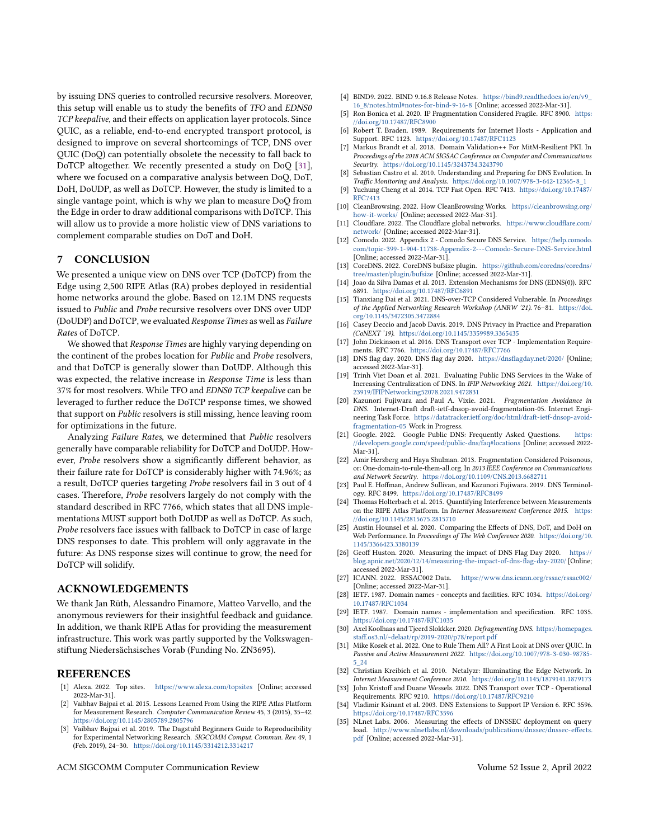by issuing DNS queries to controlled recursive resolvers. Moreover, this setup will enable us to study the benefits of TFO and EDNS0 TCP keepalive, and their effects on application layer protocols. Since QUIC, as a reliable, end-to-end encrypted transport protocol, is designed to improve on several shortcomings of TCP, DNS over QUIC (DoQ) can potentially obsolete the necessity to fall back to DoTCP altogether. We recently presented a study on DoQ [\[31\]](#page-10-34), where we focused on a comparative analysis between DoQ, DoT, DoH, DoUDP, as well as DoTCP. However, the study is limited to a single vantage point, which is why we plan to measure DoQ from the Edge in order to draw additional comparisons with DoTCP. This will allow us to provide a more holistic view of DNS variations to complement comparable studies on DoT and DoH.

## <span id="page-10-12"></span>7 CONCLUSION

We presented a unique view on DNS over TCP (DoTCP) from the Edge using 2,500 RIPE Atlas (RA) probes deployed in residential home networks around the globe. Based on 12.1M DNS requests issued to Public and Probe recursive resolvers over DNS over UDP (DoUDP) and DoTCP, we evaluated Response Times as well as Failure Rates of DoTCP.

We showed that Response Times are highly varying depending on the continent of the probes location for Public and Probe resolvers, and that DoTCP is generally slower than DoUDP. Although this was expected, the relative increase in Response Time is less than 37% for most resolvers. While TFO and EDNS0 TCP keepalive can be leveraged to further reduce the DoTCP response times, we showed that support on Public resolvers is still missing, hence leaving room for optimizations in the future.

Analyzing Failure Rates, we determined that Public resolvers generally have comparable reliability for DoTCP and DoUDP. However, Probe resolvers show a significantly different behavior, as their failure rate for DoTCP is considerably higher with 74.96%; as a result, DoTCP queries targeting Probe resolvers fail in 3 out of 4 cases. Therefore, Probe resolvers largely do not comply with the standard described in RFC 7766, which states that all DNS implementations MUST support both DoUDP as well as DoTCP. As such, Probe resolvers face issues with fallback to DoTCP in case of large DNS responses to date. This problem will only aggravate in the future: As DNS response sizes will continue to grow, the need for DoTCP will solidify.

#### ACKNOWLEDGEMENTS

We thank Jan Rüth, Alessandro Finamore, Matteo Varvello, and the anonymous reviewers for their insightful feedback and guidance. In addition, we thank RIPE Atlas for providing the measurement infrastructure. This work was partly supported by the Volkswagenstiftung Niedersächsisches Vorab (Funding No. ZN3695).

## REFERENCES

- <span id="page-10-24"></span>[1] Alexa. 2022. Top sites. <https://www.alexa.com/topsites> [Online; accessed 2022-Mar-31].
- <span id="page-10-22"></span>[2] Vaibhav Bajpai et al. 2015. Lessons Learned From Using the RIPE Atlas Platform for Measurement Research. Computer Communication Review 45, 3 (2015), 35–42. <https://doi.org/10.1145/2805789.2805796>
- <span id="page-10-26"></span>[3] Vaibhav Bajpai et al. 2019. The Dagstuhl Beginners Guide to Reproducibility for Experimental Networking Research. SIGCOMM Comput. Commun. Rev. 49, 1 (Feb. 2019), 24–30. <https://doi.org/10.1145/3314212.3314217>
- ACM SIGCOMM Computer Communication Review Volume 52 Issue 2, April 2022
- <span id="page-10-27"></span>[4] BIND9. 2022. BIND 9.16.8 Release Notes. [https://bind9.readthedocs.io/en/v9\\_](https://bind9.readthedocs.io/en/v9_16_8/notes.html#notes-for-bind-9-16-8) [16\\_8/notes.html#notes-for-bind-9-16-8](https://bind9.readthedocs.io/en/v9_16_8/notes.html#notes-for-bind-9-16-8) [Online; accessed 2022-Mar-31].
- <span id="page-10-15"></span>[5] Ron Bonica et al. 2020. IP Fragmentation Considered Fragile. RFC 8900. [https:](https://doi.org/10.17487/RFC8900) [//doi.org/10.17487/RFC8900](https://doi.org/10.17487/RFC8900)
- <span id="page-10-6"></span>[6] Robert T. Braden. 1989. Requirements for Internet Hosts - Application and Support. RFC 1123. <https://doi.org/10.17487/RFC1123>
- <span id="page-10-8"></span>[7] Markus Brandt et al. 2018. Domain Validation++ For MitM-Resilient PKI. In Proceedings of the 2018 ACM SIGSAC Conference on Computer and Communications Security. <https://doi.org/10.1145/3243734.3243790>
- <span id="page-10-13"></span>Sebastian Castro et al. 2010. Understanding and Preparing for DNS Evolution. In Traffic Monitoring and Analysis. [https://doi.org/10.1007/978-3-642-12365-8\\_1](https://doi.org/10.1007/978-3-642-12365-8_1)
- <span id="page-10-32"></span>[9] Yuchung Cheng et al. 2014. TCP Fast Open. RFC 7413. [https://doi.org/10.17487/](https://doi.org/10.17487/RFC7413) [RFC7413](https://doi.org/10.17487/RFC7413)
- <span id="page-10-28"></span>[10] CleanBrowsing. 2022. How CleanBrowsing Works. [https://cleanbrowsing.org/](https://cleanbrowsing.org/how-it-works/) [how-it-works/](https://cleanbrowsing.org/how-it-works/) [Online; accessed 2022-Mar-31].
- [11] Cloudflare. 2022. The Cloudflare global networks. [https://www.cloudflare.com/](https://www.cloudflare.com/network/) [network/](https://www.cloudflare.com/network/) [Online; accessed 2022-Mar-31].
- <span id="page-10-29"></span>[12] Comodo. 2022. Appendix 2 - Comodo Secure DNS Service. [https://help.comodo.](https://help.comodo.com/topic-399-1-904-11738-Appendix-2---Comodo-Secure-DNS-Service.html) [com/topic-399-1-904-11738-Appendix-2---Comodo-Secure-DNS-Service.html](https://help.comodo.com/topic-399-1-904-11738-Appendix-2---Comodo-Secure-DNS-Service.html) [Online; accessed 2022-Mar-31].
- <span id="page-10-33"></span>[13] CoreDNS. 2022. CoreDNS bufsize plugin. [https://github.com/coredns/coredns/](https://github.com/coredns/coredns/tree/master/plugin/bufsize) [tree/master/plugin/bufsize](https://github.com/coredns/coredns/tree/master/plugin/bufsize) [Online; accessed 2022-Mar-31].
- <span id="page-10-5"></span>[14] Joao da Silva Damas et al. 2013. Extension Mechanisms for DNS (EDNS(0)). RFC 6891. <https://doi.org/10.17487/RFC6891>
- <span id="page-10-20"></span>[15] Tianxiang Dai et al. 2021. DNS-over-TCP Considered Vulnerable. In Proceedings of the Applied Networking Research Workshop (ANRW '21). 76–81. [https://doi.](https://doi.org/10.1145/3472305.3472884) [org/10.1145/3472305.3472884](https://doi.org/10.1145/3472305.3472884)
- <span id="page-10-10"></span>[16] Casey Deccio and Jacob Davis. 2019. DNS Privacy in Practice and Preparation (CoNEXT '19). <https://doi.org/10.1145/3359989.3365435>
- <span id="page-10-7"></span>[17] John Dickinson et al. 2016. DNS Transport over TCP - Implementation Requirements. RFC 7766. <https://doi.org/10.17487/RFC7766>
- <span id="page-10-19"></span>[18] DNS flag day. 2020. DNS flag day 2020. <https://dnsflagday.net/2020/> [Online; accessed 2022-Mar-31].
- <span id="page-10-11"></span>[19] Trinh Viet Doan et al. 2021. Evaluating Public DNS Services in the Wake of Infinited Bodin of the Electric Electric of DNS. In IFIP Networking 2021. [https://doi.org/10.](https://doi.org/10.23919/IFIPNetworking52078.2021.9472831) [23919/IFIPNetworking52078.2021.9472831](https://doi.org/10.23919/IFIPNetworking52078.2021.9472831)
- <span id="page-10-16"></span>[20] Kazunori Fujiwara and Paul A. Vixie. 2021. Fragmentation Avoidance in DNS. Internet-Draft draft-ietf-dnsop-avoid-fragmentation-05. Internet Engineering Task Force. [https://datatracker.ietf.org/doc/html/draft-ietf-dnsop-avoid](https://datatracker.ietf.org/doc/html/draft-ietf-dnsop-avoid-fragmentation-05)[fragmentation-05](https://datatracker.ietf.org/doc/html/draft-ietf-dnsop-avoid-fragmentation-05) Work in Progress.
- <span id="page-10-30"></span>[21] Google. 2022. Google Public DNS: Frequently Asked Questions. [https:](https://developers.google.com/speed/public-dns/faq#locations) [//developers.google.com/speed/public-dns/faq#locations](https://developers.google.com/speed/public-dns/faq#locations) [Online; accessed 2022- Mar-31].
- <span id="page-10-9"></span>[22] Amir Herzberg and Haya Shulman. 2013. Fragmentation Considered Poisonous, or: One-domain-to-rule-them-all.org. In 2013 IEEE Conference on Communications and Network Security. <https://doi.org/10.1109/CNS.2013.6682711>
- <span id="page-10-25"></span>[23] Paul E. Hoffman, Andrew Sullivan, and Kazunori Fujiwara. 2019. DNS Terminology. RFC 8499. <https://doi.org/10.17487/RFC8499>
- <span id="page-10-23"></span>[24] Thomas Holterbach et al. 2015. Quantifying Interference between Measurements on the RIPE Atlas Platform. In Internet Measurement Conference 2015. [https:](https://doi.org/10.1145/2815675.2815710) [//doi.org/10.1145/2815675.2815710](https://doi.org/10.1145/2815675.2815710)
- <span id="page-10-21"></span>[25] Austin Hounsel et al. 2020. Comparing the Effects of DNS, DoT, and DoH on Web Performance. In Proceedings of The Web Conference 2020. [https://doi.org/10.](https://doi.org/10.1145/3366423.3380139) [1145/3366423.3380139](https://doi.org/10.1145/3366423.3380139)
- <span id="page-10-17"></span>[26] Geoff Huston. 2020. Measuring the impact of DNS Flag Day 2020. [https://](https://blog.apnic.net/2020/12/14/measuring-the-impact-of-dns-flag-day-2020/) [blog.apnic.net/2020/12/14/measuring-the-impact-of-dns-flag-day-2020/](https://blog.apnic.net/2020/12/14/measuring-the-impact-of-dns-flag-day-2020/) [Online; accessed 2022-Mar-31].<br>[27] ICANN. 2022. RSSAC002 Data.
- <span id="page-10-3"></span><https://www.dns.icann.org/rssac/rssac002/> [Online; accessed 2022-Mar-31].
- <span id="page-10-0"></span>[28] IETF. 1987. Domain names - concepts and facilities. RFC 1034. [https://doi.org/](https://doi.org/10.17487/RFC1034) [10.17487/RFC1034](https://doi.org/10.17487/RFC1034)
- <span id="page-10-1"></span>[29] IETF. 1987. Domain names - implementation and specification. RFC 1035. <https://doi.org/10.17487/RFC1035>
- <span id="page-10-18"></span>[30] Axel Koolhaas and Tjeerd Slokkker. 2020. Defragmenting DNS. [https://homepages.](https://homepages.staff.os3.nl/~delaat/rp/2019-2020/p78/report.pdf) [staff.os3.nl/~delaat/rp/2019-2020/p78/report.pdf](https://homepages.staff.os3.nl/~delaat/rp/2019-2020/p78/report.pdf)
- <span id="page-10-34"></span>[31] Mike Kosek et al. 2022. One to Rule Them All? A First Look at DNS over QUIC. In Passive and Active Measurement 2022. [https://doi.org/10.1007/978-3-030-98785-](https://doi.org/10.1007/978-3-030-98785-5_24) [5\\_24](https://doi.org/10.1007/978-3-030-98785-5_24)
- <span id="page-10-14"></span>[32] Christian Kreibich et al. 2010. Netalyzr: Illuminating the Edge Network. In Internet Measurement Conference 2010. <https://doi.org/10.1145/1879141.1879173>
- <span id="page-10-31"></span>[33] John Kristoff and Duane Wessels. 2022. DNS Transport over TCP - Operational Requirements. RFC 9210. <https://doi.org/10.17487/RFC9210>
- <span id="page-10-2"></span>[34] Vladimir Ksinant et al. 2003. DNS Extensions to Support IP Version 6. RFC 3596. <https://doi.org/10.17487/RFC3596>
- <span id="page-10-4"></span>[35] NLnet Labs. 2006. Measuring the effects of DNSSEC deployment on query load. [http://www.nlnetlabs.nl/downloads/publications/dnssec/dnssec-effects.](http://www.nlnetlabs.nl/downloads/publications/dnssec/dnssec-effects.pdf) [pdf](http://www.nlnetlabs.nl/downloads/publications/dnssec/dnssec-effects.pdf) [Online; accessed 2022-Mar-31].